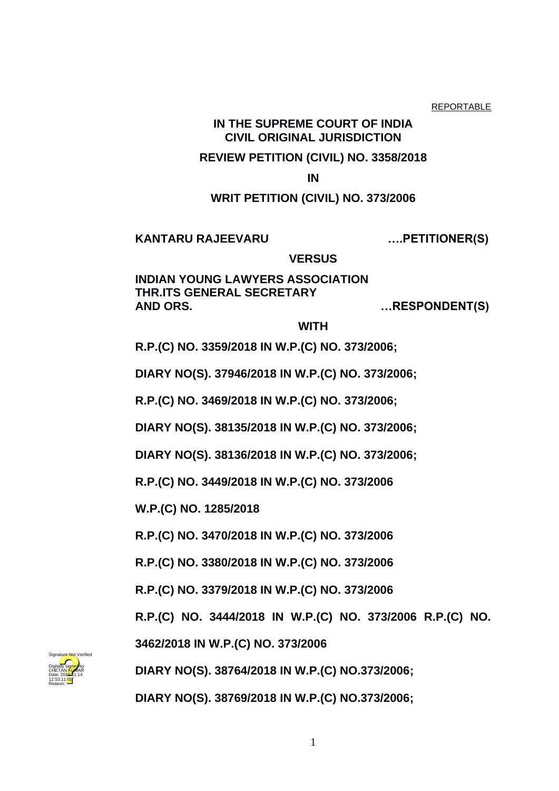REPORTABLE

# **IN THE SUPREME COURT OF INDIA CIVIL ORIGINAL JURISDICTION**

#### **REVIEW PETITION (CIVIL) NO. 3358/2018**

#### **IN**

### **WRIT PETITION (CIVIL) NO. 373/2006**

**KANTARU RAJEEVARU ….PETITIONER(S)** 

### **VERSUS**

**INDIAN YOUNG LAWYERS ASSOCIATION THR.ITS GENERAL SECRETARY AND ORS. …RESPONDENT(S)** 

#### **WITH**

**R.P.(C) NO. 3359/2018 IN W.P.(C) NO. 373/2006;**

**DIARY NO(S). 37946/2018 IN W.P.(C) NO. 373/2006;**

**R.P.(C) NO. 3469/2018 IN W.P.(C) NO. 373/2006;**

**DIARY NO(S). 38135/2018 IN W.P.(C) NO. 373/2006;**

**DIARY NO(S). 38136/2018 IN W.P.(C) NO. 373/2006;**

**R.P.(C) NO. 3449/2018 IN W.P.(C) NO. 373/2006**

**W.P.(C) NO. 1285/2018**

**R.P.(C) NO. 3470/2018 IN W.P.(C) NO. 373/2006**

**R.P.(C) NO. 3380/2018 IN W.P.(C) NO. 373/2006**

**R.P.(C) NO. 3379/2018 IN W.P.(C) NO. 373/2006**

**R.P.(C) NO. 3444/2018 IN W.P.(C) NO. 373/2006 R.P.(C) NO.** 

**3462/2018 IN W.P.(C) NO. 373/2006**

**DIARY NO(S). 38764/2018 IN W.P.(C) NO.373/2006;**

**DIARY NO(S). 38769/2018 IN W.P.(C) NO.373/2006;**

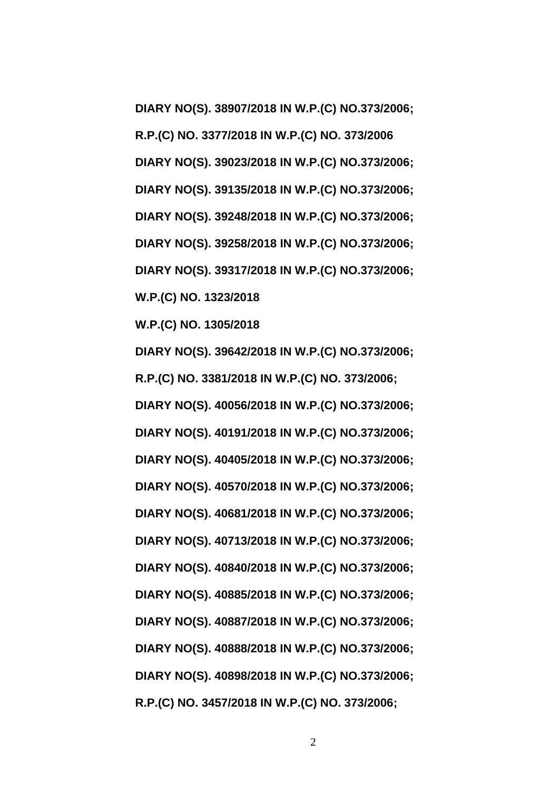**DIARY NO(S). 38907/2018 IN W.P.(C) NO.373/2006; R.P.(C) NO. 3377/2018 IN W.P.(C) NO. 373/2006 DIARY NO(S). 39023/2018 IN W.P.(C) NO.373/2006; DIARY NO(S). 39135/2018 IN W.P.(C) NO.373/2006; DIARY NO(S). 39248/2018 IN W.P.(C) NO.373/2006; DIARY NO(S). 39258/2018 IN W.P.(C) NO.373/2006; DIARY NO(S). 39317/2018 IN W.P.(C) NO.373/2006; W.P.(C) NO. 1323/2018**

**W.P.(C) NO. 1305/2018**

**DIARY NO(S). 39642/2018 IN W.P.(C) NO.373/2006; R.P.(C) NO. 3381/2018 IN W.P.(C) NO. 373/2006; DIARY NO(S). 40056/2018 IN W.P.(C) NO.373/2006; DIARY NO(S). 40191/2018 IN W.P.(C) NO.373/2006; DIARY NO(S). 40405/2018 IN W.P.(C) NO.373/2006; DIARY NO(S). 40570/2018 IN W.P.(C) NO.373/2006; DIARY NO(S). 40681/2018 IN W.P.(C) NO.373/2006; DIARY NO(S). 40713/2018 IN W.P.(C) NO.373/2006; DIARY NO(S). 40840/2018 IN W.P.(C) NO.373/2006; DIARY NO(S). 40885/2018 IN W.P.(C) NO.373/2006; DIARY NO(S). 40887/2018 IN W.P.(C) NO.373/2006; DIARY NO(S). 40888/2018 IN W.P.(C) NO.373/2006; DIARY NO(S). 40898/2018 IN W.P.(C) NO.373/2006; R.P.(C) NO. 3457/2018 IN W.P.(C) NO. 373/2006;**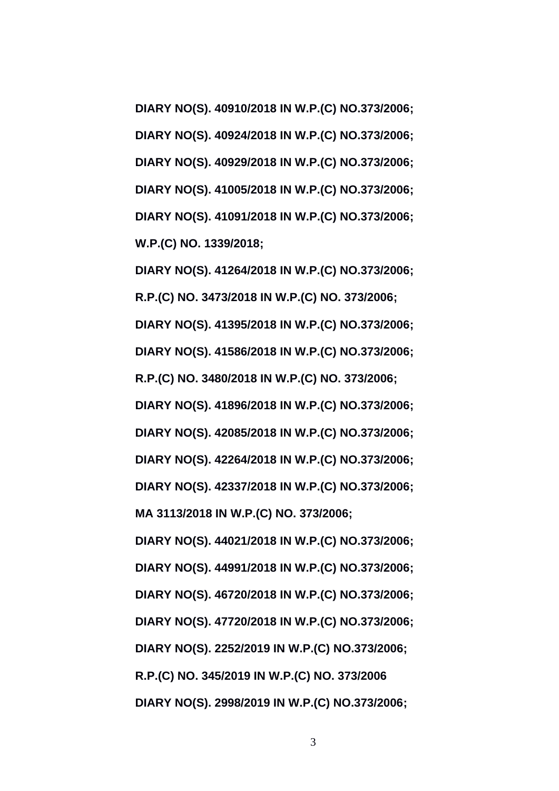**DIARY NO(S). 40910/2018 IN W.P.(C) NO.373/2006; DIARY NO(S). 40924/2018 IN W.P.(C) NO.373/2006; DIARY NO(S). 40929/2018 IN W.P.(C) NO.373/2006; DIARY NO(S). 41005/2018 IN W.P.(C) NO.373/2006; DIARY NO(S). 41091/2018 IN W.P.(C) NO.373/2006; W.P.(C) NO. 1339/2018;**

**DIARY NO(S). 41264/2018 IN W.P.(C) NO.373/2006; R.P.(C) NO. 3473/2018 IN W.P.(C) NO. 373/2006; DIARY NO(S). 41395/2018 IN W.P.(C) NO.373/2006; DIARY NO(S). 41586/2018 IN W.P.(C) NO.373/2006; R.P.(C) NO. 3480/2018 IN W.P.(C) NO. 373/2006; DIARY NO(S). 41896/2018 IN W.P.(C) NO.373/2006; DIARY NO(S). 42085/2018 IN W.P.(C) NO.373/2006; DIARY NO(S). 42264/2018 IN W.P.(C) NO.373/2006; DIARY NO(S). 42337/2018 IN W.P.(C) NO.373/2006; MA 3113/2018 IN W.P.(C) NO. 373/2006; DIARY NO(S). 44021/2018 IN W.P.(C) NO.373/2006; DIARY NO(S). 44991/2018 IN W.P.(C) NO.373/2006; DIARY NO(S). 46720/2018 IN W.P.(C) NO.373/2006; DIARY NO(S). 47720/2018 IN W.P.(C) NO.373/2006; DIARY NO(S). 2252/2019 IN W.P.(C) NO.373/2006;**

**R.P.(C) NO. 345/2019 IN W.P.(C) NO. 373/2006**

**DIARY NO(S). 2998/2019 IN W.P.(C) NO.373/2006;**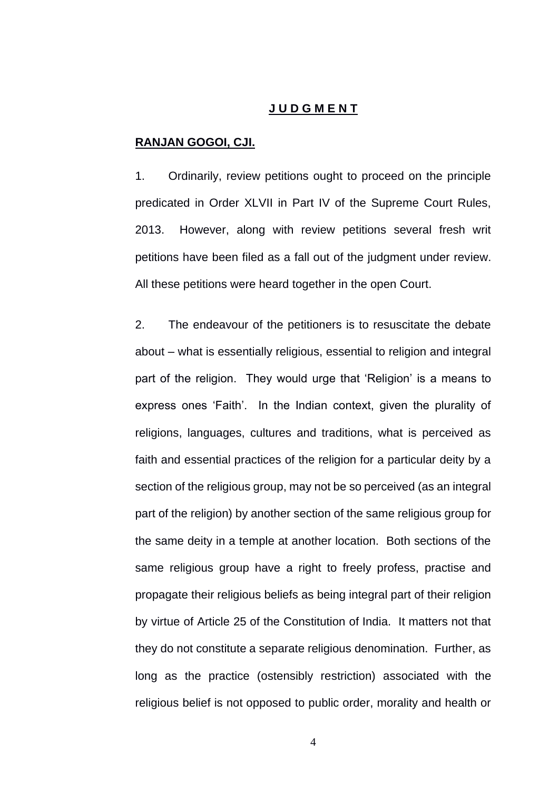#### **J U D G M E N T**

#### **RANJAN GOGOI, CJI.**

1. Ordinarily, review petitions ought to proceed on the principle predicated in Order XLVII in Part IV of the Supreme Court Rules, 2013. However, along with review petitions several fresh writ petitions have been filed as a fall out of the judgment under review. All these petitions were heard together in the open Court.

2. The endeavour of the petitioners is to resuscitate the debate about – what is essentially religious, essential to religion and integral part of the religion. They would urge that 'Religion' is a means to express ones 'Faith'. In the Indian context, given the plurality of religions, languages, cultures and traditions, what is perceived as faith and essential practices of the religion for a particular deity by a section of the religious group, may not be so perceived (as an integral part of the religion) by another section of the same religious group for the same deity in a temple at another location. Both sections of the same religious group have a right to freely profess, practise and propagate their religious beliefs as being integral part of their religion by virtue of Article 25 of the Constitution of India. It matters not that they do not constitute a separate religious denomination. Further, as long as the practice (ostensibly restriction) associated with the religious belief is not opposed to public order, morality and health or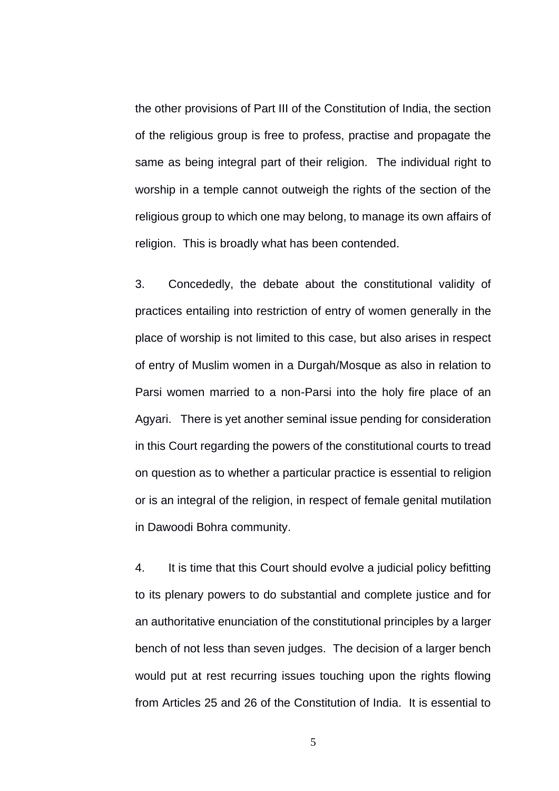the other provisions of Part III of the Constitution of India, the section of the religious group is free to profess, practise and propagate the same as being integral part of their religion. The individual right to worship in a temple cannot outweigh the rights of the section of the religious group to which one may belong, to manage its own affairs of religion. This is broadly what has been contended.

3. Concededly, the debate about the constitutional validity of practices entailing into restriction of entry of women generally in the place of worship is not limited to this case, but also arises in respect of entry of Muslim women in a Durgah/Mosque as also in relation to Parsi women married to a non-Parsi into the holy fire place of an Agyari. There is yet another seminal issue pending for consideration in this Court regarding the powers of the constitutional courts to tread on question as to whether a particular practice is essential to religion or is an integral of the religion, in respect of female genital mutilation in Dawoodi Bohra community.

4. It is time that this Court should evolve a judicial policy befitting to its plenary powers to do substantial and complete justice and for an authoritative enunciation of the constitutional principles by a larger bench of not less than seven judges. The decision of a larger bench would put at rest recurring issues touching upon the rights flowing from Articles 25 and 26 of the Constitution of India. It is essential to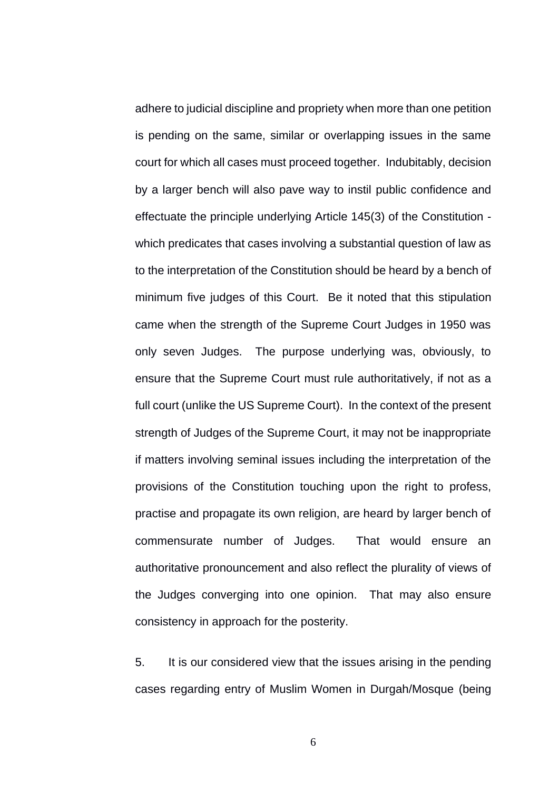adhere to judicial discipline and propriety when more than one petition is pending on the same, similar or overlapping issues in the same court for which all cases must proceed together. Indubitably, decision by a larger bench will also pave way to instil public confidence and effectuate the principle underlying Article 145(3) of the Constitution which predicates that cases involving a substantial question of law as to the interpretation of the Constitution should be heard by a bench of minimum five judges of this Court. Be it noted that this stipulation came when the strength of the Supreme Court Judges in 1950 was only seven Judges. The purpose underlying was, obviously, to ensure that the Supreme Court must rule authoritatively, if not as a full court (unlike the US Supreme Court). In the context of the present strength of Judges of the Supreme Court, it may not be inappropriate if matters involving seminal issues including the interpretation of the provisions of the Constitution touching upon the right to profess, practise and propagate its own religion, are heard by larger bench of commensurate number of Judges. That would ensure an authoritative pronouncement and also reflect the plurality of views of the Judges converging into one opinion. That may also ensure consistency in approach for the posterity.

5. It is our considered view that the issues arising in the pending cases regarding entry of Muslim Women in Durgah/Mosque (being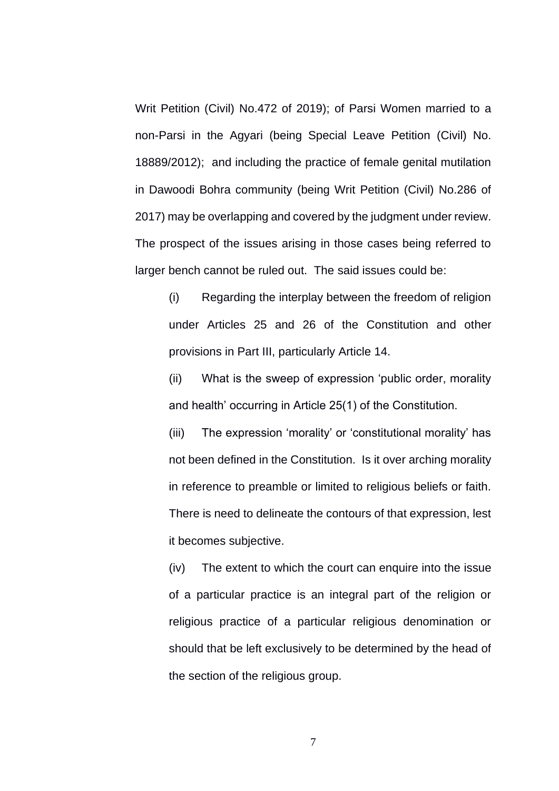Writ Petition (Civil) No.472 of 2019); of Parsi Women married to a non-Parsi in the Agyari (being Special Leave Petition (Civil) No. 18889/2012); and including the practice of female genital mutilation in Dawoodi Bohra community (being Writ Petition (Civil) No.286 of 2017) may be overlapping and covered by the judgment under review. The prospect of the issues arising in those cases being referred to larger bench cannot be ruled out. The said issues could be:

(i) Regarding the interplay between the freedom of religion under Articles 25 and 26 of the Constitution and other provisions in Part III, particularly Article 14.

(ii) What is the sweep of expression 'public order, morality and health' occurring in Article 25(1) of the Constitution.

(iii) The expression 'morality' or 'constitutional morality' has not been defined in the Constitution. Is it over arching morality in reference to preamble or limited to religious beliefs or faith. There is need to delineate the contours of that expression, lest it becomes subjective.

(iv) The extent to which the court can enquire into the issue of a particular practice is an integral part of the religion or religious practice of a particular religious denomination or should that be left exclusively to be determined by the head of the section of the religious group.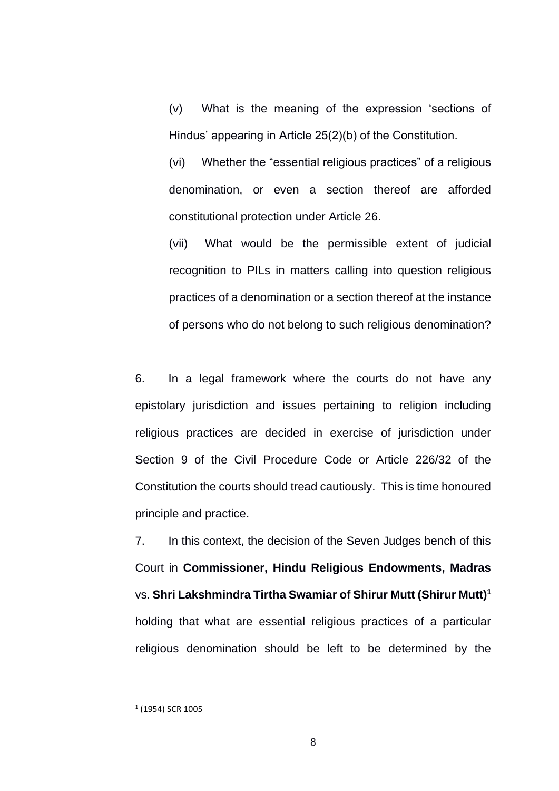(v) What is the meaning of the expression 'sections of Hindus' appearing in Article 25(2)(b) of the Constitution.

(vi) Whether the "essential religious practices" of a religious denomination, or even a section thereof are afforded constitutional protection under Article 26.

(vii) What would be the permissible extent of judicial recognition to PILs in matters calling into question religious practices of a denomination or a section thereof at the instance of persons who do not belong to such religious denomination?

6. In a legal framework where the courts do not have any epistolary jurisdiction and issues pertaining to religion including religious practices are decided in exercise of jurisdiction under Section 9 of the Civil Procedure Code or Article 226/32 of the Constitution the courts should tread cautiously. This is time honoured principle and practice.

7. In this context, the decision of the Seven Judges bench of this Court in **Commissioner, Hindu Religious Endowments, Madras**  vs. **Shri Lakshmindra Tirtha Swamiar of Shirur Mutt (Shirur Mutt)<sup>1</sup>** holding that what are essential religious practices of a particular religious denomination should be left to be determined by the

<sup>1</sup> (1954) SCR 1005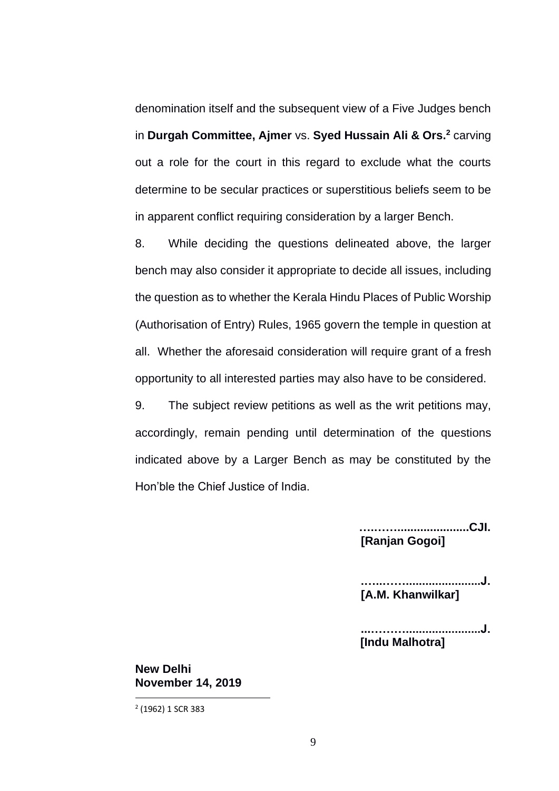denomination itself and the subsequent view of a Five Judges bench in **Durgah Committee, Ajmer** vs. **Syed Hussain Ali & Ors.<sup>2</sup>** carving out a role for the court in this regard to exclude what the courts determine to be secular practices or superstitious beliefs seem to be in apparent conflict requiring consideration by a larger Bench.

8. While deciding the questions delineated above, the larger bench may also consider it appropriate to decide all issues, including the question as to whether the Kerala Hindu Places of Public Worship (Authorisation of Entry) Rules, 1965 govern the temple in question at all. Whether the aforesaid consideration will require grant of a fresh opportunity to all interested parties may also have to be considered.

9. The subject review petitions as well as the writ petitions may, accordingly, remain pending until determination of the questions indicated above by a Larger Bench as may be constituted by the Hon'ble the Chief Justice of India.

> **….……......................CJI. [Ranjan Gogoi]**

**.…..…….......................J. [A.M. Khanwilkar]**

**...……….......................J. [Indu Malhotra]**

**New Delhi November 14, 2019**

<sup>2</sup> (1962) 1 SCR 383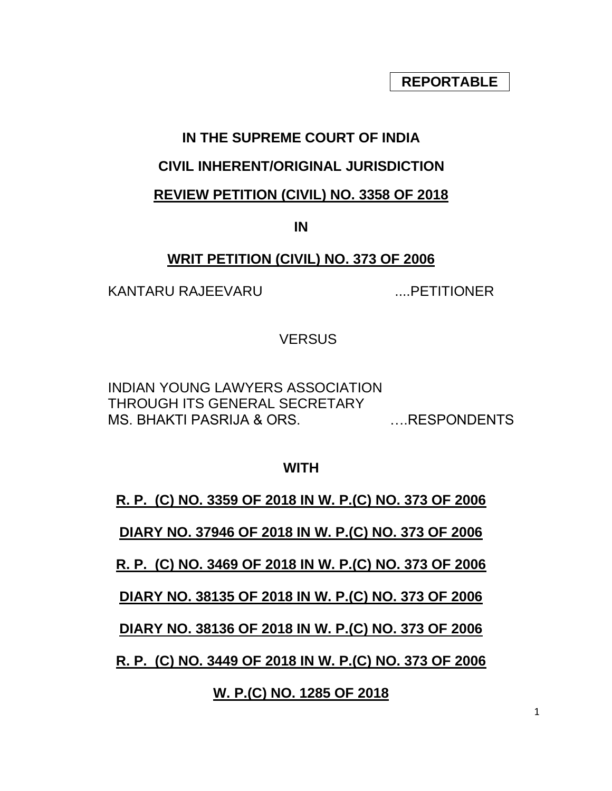**REPORTABLE**

## **IN THE SUPREME COURT OF INDIA**

## **CIVIL INHERENT/ORIGINAL JURISDICTION**

## **REVIEW PETITION (CIVIL) NO. 3358 OF 2018**

**IN** 

# **WRIT PETITION (CIVIL) NO. 373 OF 2006**

KANTARU RAJEEVARU ....PETITIONER

**VERSUS** 

INDIAN YOUNG LAWYERS ASSOCIATION THROUGH ITS GENERAL SECRETARY MS. BHAKTI PASRIJA & ORS. ….RESPONDENTS

**WITH**

**R. P. (C) NO. 3359 OF 2018 IN W. P.(C) NO. 373 OF 2006 DIARY NO. 37946 OF 2018 IN W. P.(C) NO. 373 OF 2006 R. P. (C) NO. 3469 OF 2018 IN W. P.(C) NO. 373 OF 2006 DIARY NO. 38135 OF 2018 IN W. P.(C) NO. 373 OF 2006 DIARY NO. 38136 OF 2018 IN W. P.(C) NO. 373 OF 2006 R. P. (C) NO. 3449 OF 2018 IN W. P.(C) NO. 373 OF 2006**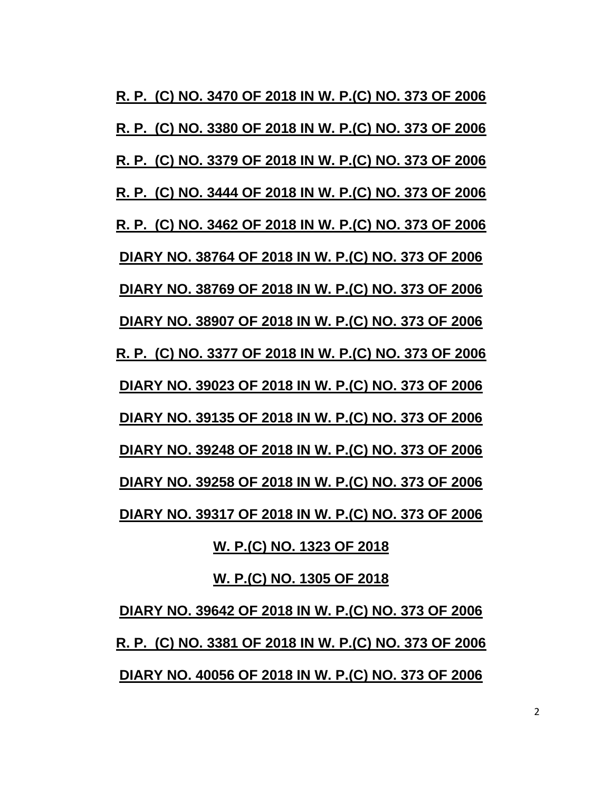**R. P. (C) NO. 3470 OF 2018 IN W. P.(C) NO. 373 OF 2006 R. P. (C) NO. 3380 OF 2018 IN W. P.(C) NO. 373 OF 2006 R. P. (C) NO. 3379 OF 2018 IN W. P.(C) NO. 373 OF 2006 R. P. (C) NO. 3444 OF 2018 IN W. P.(C) NO. 373 OF 2006 R. P. (C) NO. 3462 OF 2018 IN W. P.(C) NO. 373 OF 2006 DIARY NO. 38764 OF 2018 IN W. P.(C) NO. 373 OF 2006 DIARY NO. 38769 OF 2018 IN W. P.(C) NO. 373 OF 2006 DIARY NO. 38907 OF 2018 IN W. P.(C) NO. 373 OF 2006 R. P. (C) NO. 3377 OF 2018 IN W. P.(C) NO. 373 OF 2006 DIARY NO. 39023 OF 2018 IN W. P.(C) NO. 373 OF 2006 DIARY NO. 39135 OF 2018 IN W. P.(C) NO. 373 OF 2006 DIARY NO. 39248 OF 2018 IN W. P.(C) NO. 373 OF 2006 DIARY NO. 39258 OF 2018 IN W. P.(C) NO. 373 OF 2006 DIARY NO. 39317 OF 2018 IN W. P.(C) NO. 373 OF 2006**

### **W. P.(C) NO. 1323 OF 2018**

## **W. P.(C) NO. 1305 OF 2018**

**DIARY NO. 39642 OF 2018 IN W. P.(C) NO. 373 OF 2006 R. P. (C) NO. 3381 OF 2018 IN W. P.(C) NO. 373 OF 2006 DIARY NO. 40056 OF 2018 IN W. P.(C) NO. 373 OF 2006**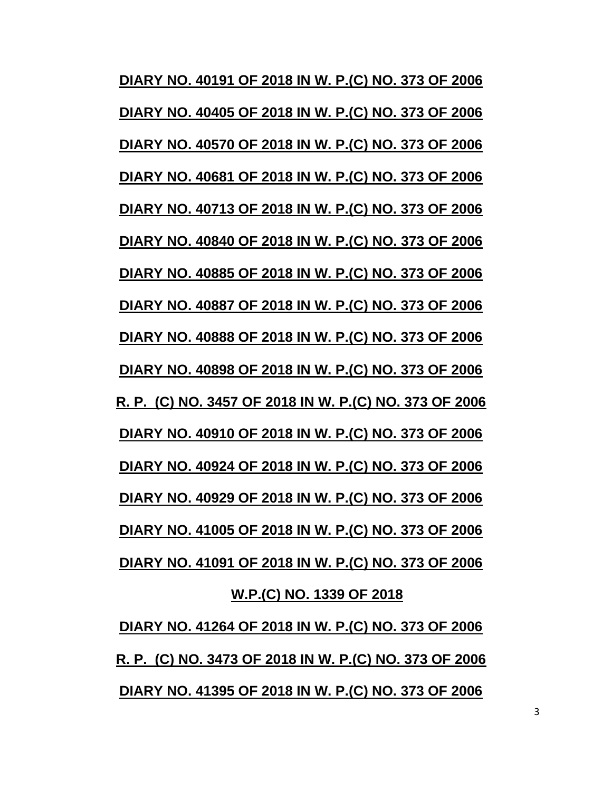**DIARY NO. 40191 OF 2018 IN W. P.(C) NO. 373 OF 2006 DIARY NO. 40405 OF 2018 IN W. P.(C) NO. 373 OF 2006 DIARY NO. 40570 OF 2018 IN W. P.(C) NO. 373 OF 2006 DIARY NO. 40681 OF 2018 IN W. P.(C) NO. 373 OF 2006 DIARY NO. 40713 OF 2018 IN W. P.(C) NO. 373 OF 2006 DIARY NO. 40840 OF 2018 IN W. P.(C) NO. 373 OF 2006 DIARY NO. 40885 OF 2018 IN W. P.(C) NO. 373 OF 2006 DIARY NO. 40887 OF 2018 IN W. P.(C) NO. 373 OF 2006 DIARY NO. 40888 OF 2018 IN W. P.(C) NO. 373 OF 2006 DIARY NO. 40898 OF 2018 IN W. P.(C) NO. 373 OF 2006 R. P. (C) NO. 3457 OF 2018 IN W. P.(C) NO. 373 OF 2006 DIARY NO. 40910 OF 2018 IN W. P.(C) NO. 373 OF 2006 DIARY NO. 40924 OF 2018 IN W. P.(C) NO. 373 OF 2006 DIARY NO. 40929 OF 2018 IN W. P.(C) NO. 373 OF 2006 DIARY NO. 41005 OF 2018 IN W. P.(C) NO. 373 OF 2006 DIARY NO. 41091 OF 2018 IN W. P.(C) NO. 373 OF 2006 W.P.(C) NO. 1339 OF 2018**

**DIARY NO. 41264 OF 2018 IN W. P.(C) NO. 373 OF 2006 R. P. (C) NO. 3473 OF 2018 IN W. P.(C) NO. 373 OF 2006 DIARY NO. 41395 OF 2018 IN W. P.(C) NO. 373 OF 2006**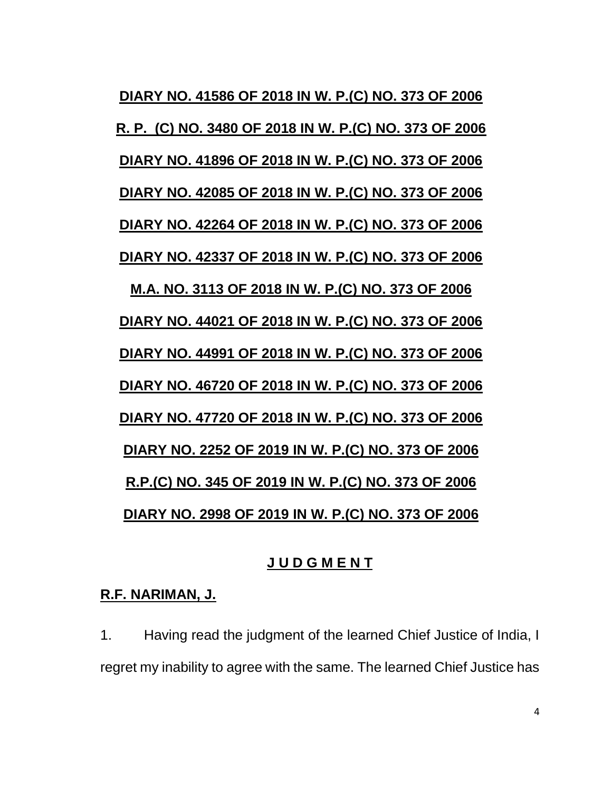**DIARY NO. 41586 OF 2018 IN W. P.(C) NO. 373 OF 2006 R. P. (C) NO. 3480 OF 2018 IN W. P.(C) NO. 373 OF 2006 DIARY NO. 41896 OF 2018 IN W. P.(C) NO. 373 OF 2006 DIARY NO. 42085 OF 2018 IN W. P.(C) NO. 373 OF 2006 DIARY NO. 42264 OF 2018 IN W. P.(C) NO. 373 OF 2006 DIARY NO. 42337 OF 2018 IN W. P.(C) NO. 373 OF 2006**

**M.A. NO. 3113 OF 2018 IN W. P.(C) NO. 373 OF 2006 DIARY NO. 44021 OF 2018 IN W. P.(C) NO. 373 OF 2006 DIARY NO. 44991 OF 2018 IN W. P.(C) NO. 373 OF 2006 DIARY NO. 46720 OF 2018 IN W. P.(C) NO. 373 OF 2006 DIARY NO. 47720 OF 2018 IN W. P.(C) NO. 373 OF 2006 DIARY NO. 2252 OF 2019 IN W. P.(C) NO. 373 OF 2006 R.P.(C) NO. 345 OF 2019 IN W. P.(C) NO. 373 OF 2006 DIARY NO. 2998 OF 2019 IN W. P.(C) NO. 373 OF 2006**

### **J U D G M E N T**

## **R.F. NARIMAN, J.**

1. Having read the judgment of the learned Chief Justice of India, I regret my inability to agree with the same. The learned Chief Justice has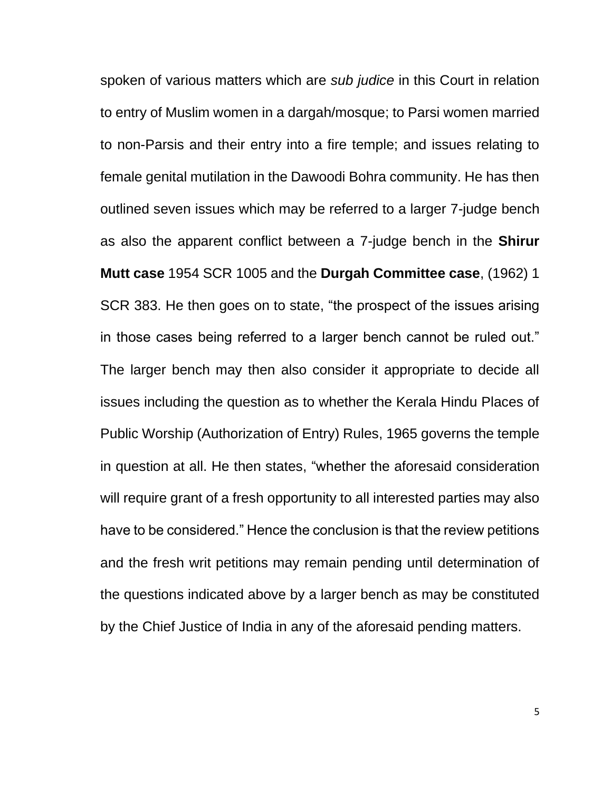spoken of various matters which are *sub judice* in this Court in relation to entry of Muslim women in a dargah/mosque; to Parsi women married to non-Parsis and their entry into a fire temple; and issues relating to female genital mutilation in the Dawoodi Bohra community. He has then outlined seven issues which may be referred to a larger 7-judge bench as also the apparent conflict between a 7-judge bench in the **Shirur Mutt case** 1954 SCR 1005 and the **Durgah Committee case**, (1962) 1 SCR 383. He then goes on to state, "the prospect of the issues arising in those cases being referred to a larger bench cannot be ruled out." The larger bench may then also consider it appropriate to decide all issues including the question as to whether the Kerala Hindu Places of Public Worship (Authorization of Entry) Rules, 1965 governs the temple in question at all. He then states, "whether the aforesaid consideration will require grant of a fresh opportunity to all interested parties may also have to be considered." Hence the conclusion is that the review petitions and the fresh writ petitions may remain pending until determination of the questions indicated above by a larger bench as may be constituted by the Chief Justice of India in any of the aforesaid pending matters.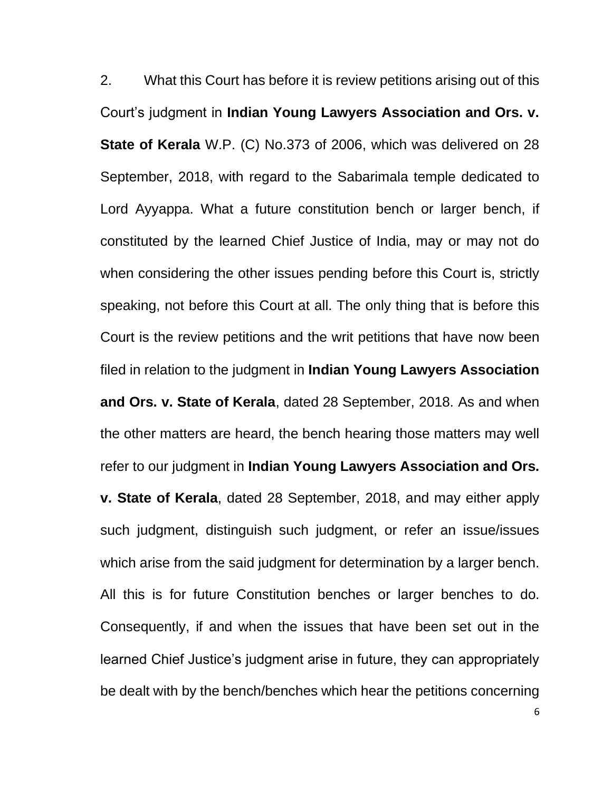2. What this Court has before it is review petitions arising out of this Court's judgment in **Indian Young Lawyers Association and Ors. v. State of Kerala** W.P. (C) No.373 of 2006, which was delivered on 28 September, 2018, with regard to the Sabarimala temple dedicated to Lord Ayyappa. What a future constitution bench or larger bench, if constituted by the learned Chief Justice of India, may or may not do when considering the other issues pending before this Court is, strictly speaking, not before this Court at all. The only thing that is before this Court is the review petitions and the writ petitions that have now been filed in relation to the judgment in **Indian Young Lawyers Association and Ors. v. State of Kerala**, dated 28 September, 2018. As and when the other matters are heard, the bench hearing those matters may well refer to our judgment in **Indian Young Lawyers Association and Ors. v. State of Kerala**, dated 28 September, 2018, and may either apply such judgment, distinguish such judgment, or refer an issue/issues which arise from the said judgment for determination by a larger bench. All this is for future Constitution benches or larger benches to do. Consequently, if and when the issues that have been set out in the learned Chief Justice's judgment arise in future, they can appropriately be dealt with by the bench/benches which hear the petitions concerning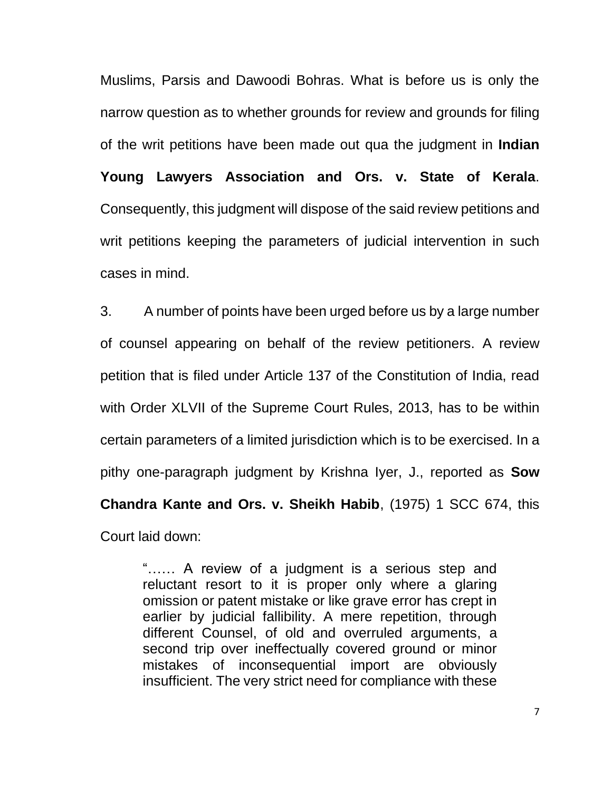Muslims, Parsis and Dawoodi Bohras. What is before us is only the narrow question as to whether grounds for review and grounds for filing of the writ petitions have been made out qua the judgment in **Indian Young Lawyers Association and Ors. v. State of Kerala**. Consequently, this judgment will dispose of the said review petitions and writ petitions keeping the parameters of judicial intervention in such cases in mind.

3. A number of points have been urged before us by a large number of counsel appearing on behalf of the review petitioners. A review petition that is filed under Article 137 of the Constitution of India, read with Order XLVII of the Supreme Court Rules, 2013, has to be within certain parameters of a limited jurisdiction which is to be exercised. In a pithy one-paragraph judgment by Krishna Iyer, J., reported as **Sow Chandra Kante and Ors. v. Sheikh Habib**, (1975) 1 SCC 674, this Court laid down:

"…… A review of a judgment is a serious step and reluctant resort to it is proper only where a glaring omission or patent mistake or like grave error has crept in earlier by judicial fallibility. A mere repetition, through different Counsel, of old and overruled arguments, a second trip over ineffectually covered ground or minor mistakes of inconsequential import are obviously insufficient. The very strict need for compliance with these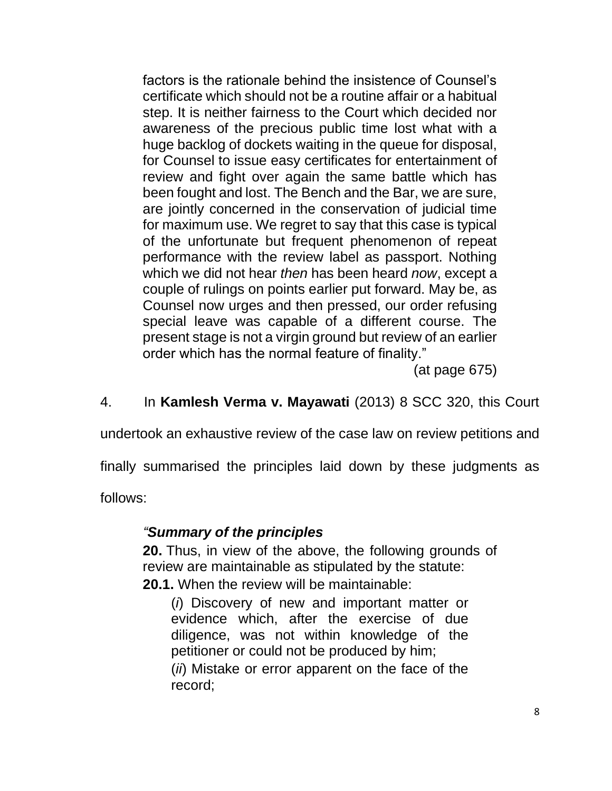factors is the rationale behind the insistence of Counsel's certificate which should not be a routine affair or a habitual step. It is neither fairness to the Court which decided nor awareness of the precious public time lost what with a huge backlog of dockets waiting in the queue for disposal, for Counsel to issue easy certificates for entertainment of review and fight over again the same battle which has been fought and lost. The Bench and the Bar, we are sure, are jointly concerned in the conservation of judicial time for maximum use. We regret to say that this case is typical of the unfortunate but frequent phenomenon of repeat performance with the review label as passport. Nothing which we did not hear *then* has been heard *now*, except a couple of rulings on points earlier put forward. May be, as Counsel now urges and then pressed, our order refusing special leave was capable of a different course. The present stage is not a virgin ground but review of an earlier order which has the normal feature of finality."

(at page 675)

## 4. In **Kamlesh Verma v. Mayawati** (2013) 8 SCC 320, this Court

undertook an exhaustive review of the case law on review petitions and

finally summarised the principles laid down by these judgments as

follows:

## *"Summary of the principles*

**20.** Thus, in view of the above, the following grounds of review are maintainable as stipulated by the statute: **20.1.** When the review will be maintainable:

(*i*) Discovery of new and important matter or evidence which, after the exercise of due diligence, was not within knowledge of the petitioner or could not be produced by him; (*ii*) Mistake or error apparent on the face of the record;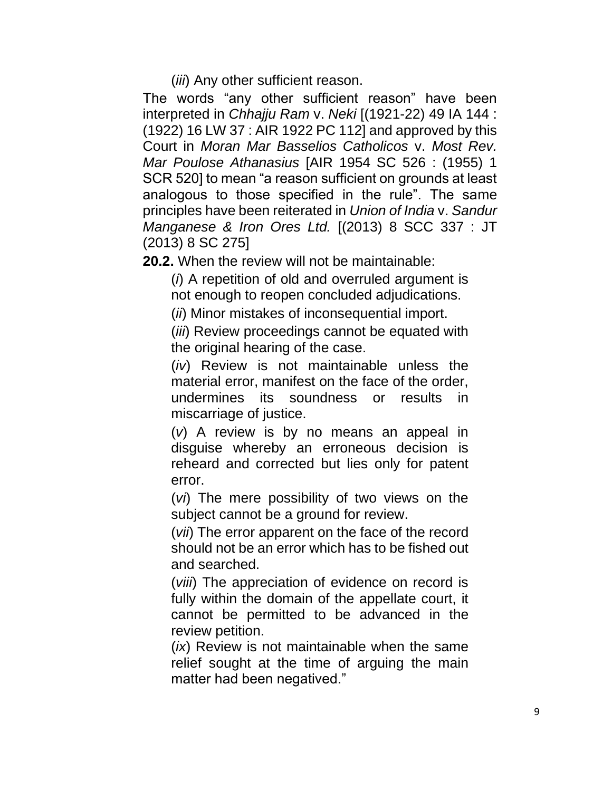(*iii*) Any other sufficient reason.

The words "any other sufficient reason" have been interpreted in *Chhajju Ram* v. *Neki* [(1921-22) 49 IA 144 : (1922) 16 LW 37 : AIR 1922 PC 112] and approved by this Court in *Moran Mar Basselios Catholicos* v. *Most Rev. Mar Poulose Athanasius* [AIR 1954 SC 526 : (1955) 1 SCR 520] to mean "a reason sufficient on grounds at least analogous to those specified in the rule". The same principles have been reiterated in *Union of India* v. *Sandur Manganese & Iron Ores Ltd.* [(2013) 8 SCC 337 : JT (2013) 8 SC 275]

**20.2.** When the review will not be maintainable:

(*i*) A repetition of old and overruled argument is not enough to reopen concluded adjudications.

(*ii*) Minor mistakes of inconsequential import.

(*iii*) Review proceedings cannot be equated with the original hearing of the case.

(*iv*) Review is not maintainable unless the material error, manifest on the face of the order, undermines its soundness or results in miscarriage of justice.

(*v*) A review is by no means an appeal in disguise whereby an erroneous decision is reheard and corrected but lies only for patent error.

(*vi*) The mere possibility of two views on the subject cannot be a ground for review.

(*vii*) The error apparent on the face of the record should not be an error which has to be fished out and searched.

(*viii*) The appreciation of evidence on record is fully within the domain of the appellate court, it cannot be permitted to be advanced in the review petition.

(*ix*) Review is not maintainable when the same relief sought at the time of arguing the main matter had been negatived."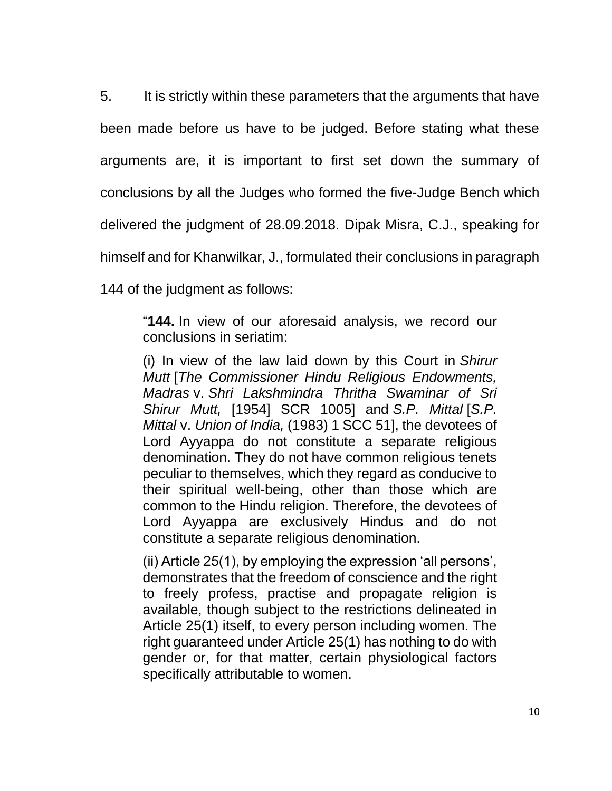5. It is strictly within these parameters that the arguments that have been made before us have to be judged. Before stating what these arguments are, it is important to first set down the summary of conclusions by all the Judges who formed the five-Judge Bench which delivered the judgment of 28.09.2018. Dipak Misra, C.J., speaking for himself and for Khanwilkar, J., formulated their conclusions in paragraph 144 of the judgment as follows:

"**144.** In view of our aforesaid analysis, we record our conclusions in seriatim:

(i) In view of the law laid down by this Court in *Shirur Mutt* [*The Commissioner Hindu Religious Endowments, Madras* v. *Shri Lakshmindra Thritha Swaminar of Sri Shirur Mutt,* [1954] SCR 1005] and *S.P. Mittal* [*S.P. Mittal* v. *Union of India,* (1983) 1 SCC 51], the devotees of Lord Ayyappa do not constitute a separate religious denomination. They do not have common religious tenets peculiar to themselves, which they regard as conducive to their spiritual well-being, other than those which are common to the Hindu religion. Therefore, the devotees of Lord Ayyappa are exclusively Hindus and do not constitute a separate religious denomination.

(ii) Article 25(1), by employing the expression 'all persons', demonstrates that the freedom of conscience and the right to freely profess, practise and propagate religion is available, though subject to the restrictions delineated in Article 25(1) itself, to every person including women. The right guaranteed under Article 25(1) has nothing to do with gender or, for that matter, certain physiological factors specifically attributable to women.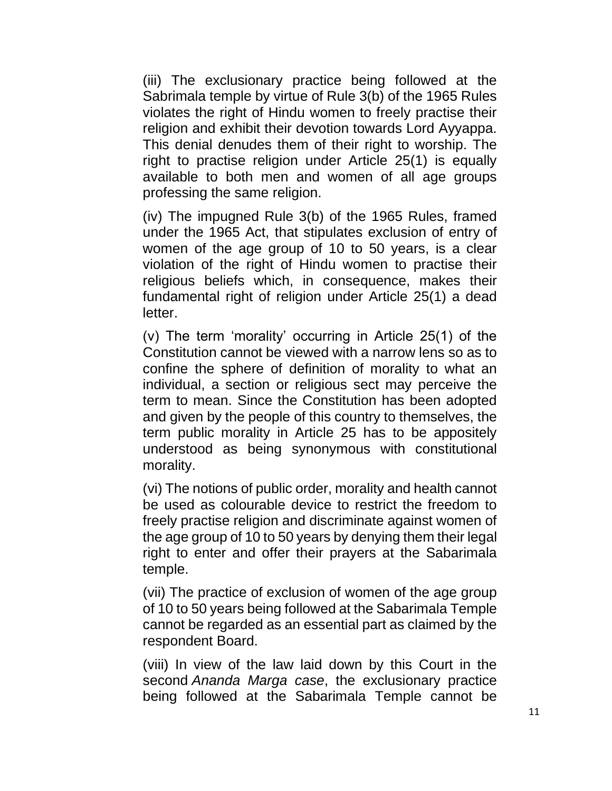(iii) The exclusionary practice being followed at the Sabrimala temple by virtue of Rule 3(b) of the 1965 Rules violates the right of Hindu women to freely practise their religion and exhibit their devotion towards Lord Ayyappa. This denial denudes them of their right to worship. The right to practise religion under Article 25(1) is equally available to both men and women of all age groups professing the same religion.

(iv) The impugned Rule 3(b) of the 1965 Rules, framed under the 1965 Act, that stipulates exclusion of entry of women of the age group of 10 to 50 years, is a clear violation of the right of Hindu women to practise their religious beliefs which, in consequence, makes their fundamental right of religion under Article 25(1) a dead letter.

(v) The term 'morality' occurring in Article 25(1) of the Constitution cannot be viewed with a narrow lens so as to confine the sphere of definition of morality to what an individual, a section or religious sect may perceive the term to mean. Since the Constitution has been adopted and given by the people of this country to themselves, the term public morality in Article 25 has to be appositely understood as being synonymous with constitutional morality.

(vi) The notions of public order, morality and health cannot be used as colourable device to restrict the freedom to freely practise religion and discriminate against women of the age group of 10 to 50 years by denying them their legal right to enter and offer their prayers at the Sabarimala temple.

(vii) The practice of exclusion of women of the age group of 10 to 50 years being followed at the Sabarimala Temple cannot be regarded as an essential part as claimed by the respondent Board.

(viii) In view of the law laid down by this Court in the second *Ananda Marga case*, the exclusionary practice being followed at the Sabarimala Temple cannot be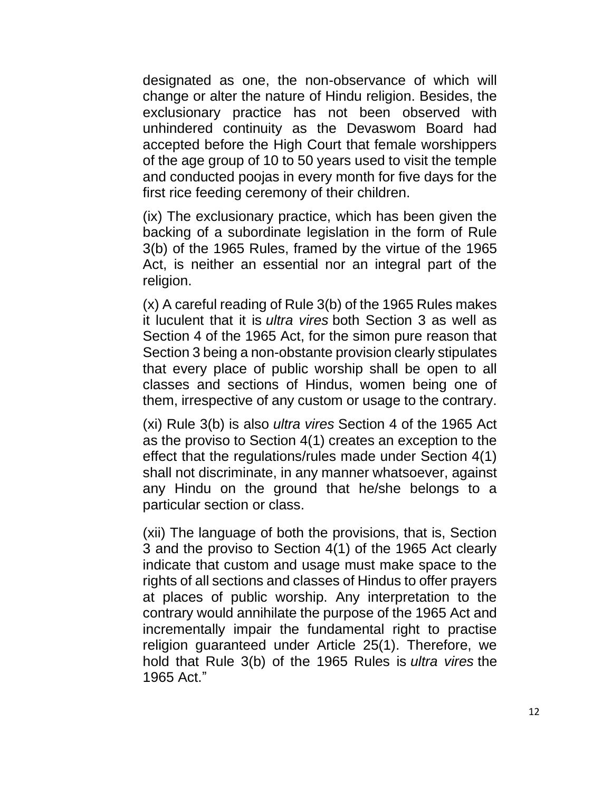designated as one, the non-observance of which will change or alter the nature of Hindu religion. Besides, the exclusionary practice has not been observed with unhindered continuity as the Devaswom Board had accepted before the High Court that female worshippers of the age group of 10 to 50 years used to visit the temple and conducted poojas in every month for five days for the first rice feeding ceremony of their children.

(ix) The exclusionary practice, which has been given the backing of a subordinate legislation in the form of Rule 3(b) of the 1965 Rules, framed by the virtue of the 1965 Act, is neither an essential nor an integral part of the religion.

(x) A careful reading of Rule 3(b) of the 1965 Rules makes it luculent that it is *ultra vires* both Section 3 as well as Section 4 of the 1965 Act, for the simon pure reason that Section 3 being a non-obstante provision clearly stipulates that every place of public worship shall be open to all classes and sections of Hindus, women being one of them, irrespective of any custom or usage to the contrary.

(xi) Rule 3(b) is also *ultra vires* Section 4 of the 1965 Act as the proviso to Section 4(1) creates an exception to the effect that the regulations/rules made under Section 4(1) shall not discriminate, in any manner whatsoever, against any Hindu on the ground that he/she belongs to a particular section or class.

(xii) The language of both the provisions, that is, Section 3 and the proviso to Section 4(1) of the 1965 Act clearly indicate that custom and usage must make space to the rights of all sections and classes of Hindus to offer prayers at places of public worship. Any interpretation to the contrary would annihilate the purpose of the 1965 Act and incrementally impair the fundamental right to practise religion guaranteed under Article 25(1). Therefore, we hold that Rule 3(b) of the 1965 Rules is *ultra vires* the 1965 Act."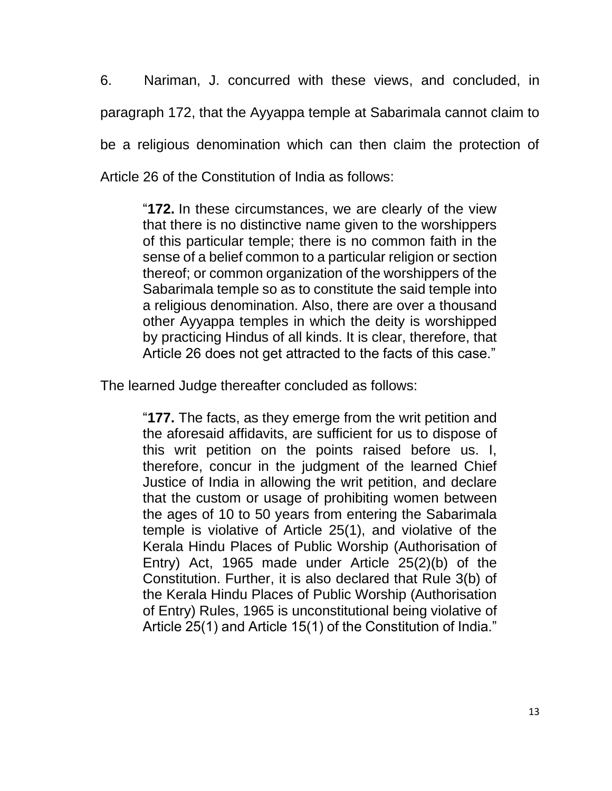6. Nariman, J. concurred with these views, and concluded, in paragraph 172, that the Ayyappa temple at Sabarimala cannot claim to be a religious denomination which can then claim the protection of Article 26 of the Constitution of India as follows:

"**172.** In these circumstances, we are clearly of the view that there is no distinctive name given to the worshippers of this particular temple; there is no common faith in the sense of a belief common to a particular religion or section thereof; or common organization of the worshippers of the Sabarimala temple so as to constitute the said temple into a religious denomination. Also, there are over a thousand other Ayyappa temples in which the deity is worshipped by practicing Hindus of all kinds. It is clear, therefore, that Article 26 does not get attracted to the facts of this case."

The learned Judge thereafter concluded as follows:

"**177.** The facts, as they emerge from the writ petition and the aforesaid affidavits, are sufficient for us to dispose of this writ petition on the points raised before us. I, therefore, concur in the judgment of the learned Chief Justice of India in allowing the writ petition, and declare that the custom or usage of prohibiting women between the ages of 10 to 50 years from entering the Sabarimala temple is violative of Article 25(1), and violative of the Kerala Hindu Places of Public Worship (Authorisation of Entry) Act, 1965 made under Article 25(2)(b) of the Constitution. Further, it is also declared that Rule 3(b) of the Kerala Hindu Places of Public Worship (Authorisation of Entry) Rules, 1965 is unconstitutional being violative of Article 25(1) and Article 15(1) of the Constitution of India."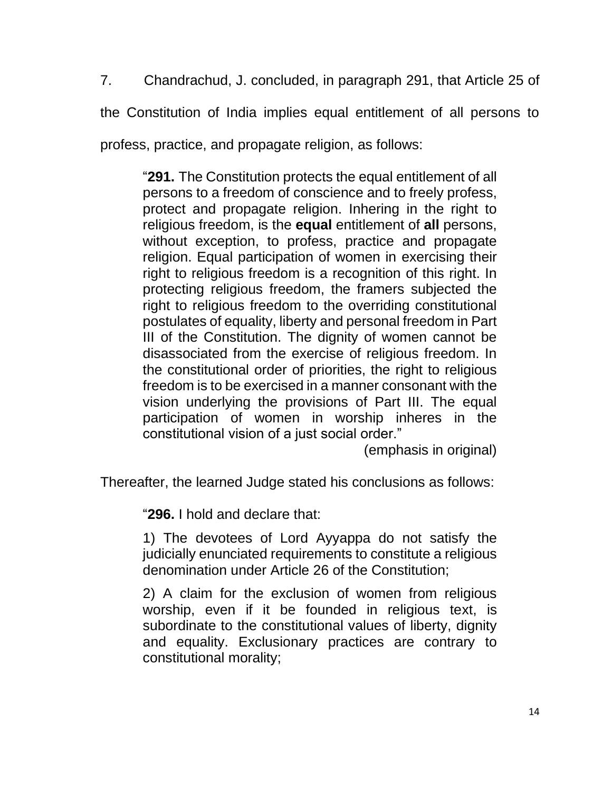7. Chandrachud, J. concluded, in paragraph 291, that Article 25 of the Constitution of India implies equal entitlement of all persons to profess, practice, and propagate religion, as follows:

"**291.** The Constitution protects the equal entitlement of all persons to a freedom of conscience and to freely profess, protect and propagate religion. Inhering in the right to religious freedom, is the **equal** entitlement of **all** persons, without exception, to profess, practice and propagate religion. Equal participation of women in exercising their right to religious freedom is a recognition of this right. In protecting religious freedom, the framers subjected the right to religious freedom to the overriding constitutional postulates of equality, liberty and personal freedom in Part III of the Constitution. The dignity of women cannot be disassociated from the exercise of religious freedom. In the constitutional order of priorities, the right to religious freedom is to be exercised in a manner consonant with the vision underlying the provisions of Part III. The equal participation of women in worship inheres in the constitutional vision of a just social order."

(emphasis in original)

Thereafter, the learned Judge stated his conclusions as follows:

"**296.** I hold and declare that:

1) The devotees of Lord Ayyappa do not satisfy the judicially enunciated requirements to constitute a religious denomination under Article 26 of the Constitution;

2) A claim for the exclusion of women from religious worship, even if it be founded in religious text, is subordinate to the constitutional values of liberty, dignity and equality. Exclusionary practices are contrary to constitutional morality;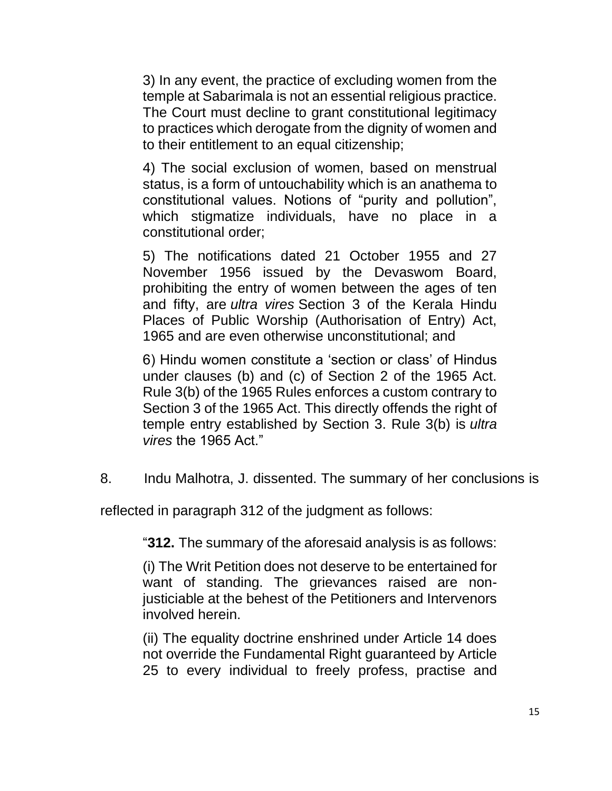3) In any event, the practice of excluding women from the temple at Sabarimala is not an essential religious practice. The Court must decline to grant constitutional legitimacy to practices which derogate from the dignity of women and to their entitlement to an equal citizenship;

4) The social exclusion of women, based on menstrual status, is a form of untouchability which is an anathema to constitutional values. Notions of "purity and pollution", which stigmatize individuals, have no place in a constitutional order;

5) The notifications dated 21 October 1955 and 27 November 1956 issued by the Devaswom Board, prohibiting the entry of women between the ages of ten and fifty, are *ultra vires* Section 3 of the Kerala Hindu Places of Public Worship (Authorisation of Entry) Act, 1965 and are even otherwise unconstitutional; and

6) Hindu women constitute a 'section or class' of Hindus under clauses (b) and (c) of Section 2 of the 1965 Act. Rule 3(b) of the 1965 Rules enforces a custom contrary to Section 3 of the 1965 Act. This directly offends the right of temple entry established by Section 3. Rule 3(b) is *ultra vires* the 1965 Act."

8. Indu Malhotra, J. dissented. The summary of her conclusions is

reflected in paragraph 312 of the judgment as follows:

"**312.** The summary of the aforesaid analysis is as follows:

(i) The Writ Petition does not deserve to be entertained for want of standing. The grievances raised are nonjusticiable at the behest of the Petitioners and Intervenors involved herein.

(ii) The equality doctrine enshrined under Article 14 does not override the Fundamental Right guaranteed by Article 25 to every individual to freely profess, practise and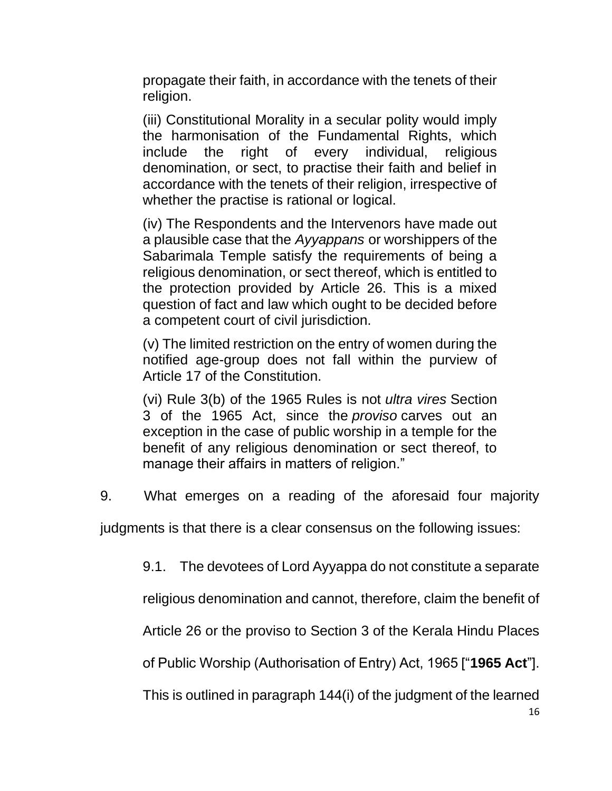propagate their faith, in accordance with the tenets of their religion.

(iii) Constitutional Morality in a secular polity would imply the harmonisation of the Fundamental Rights, which include the right of every individual, religious denomination, or sect, to practise their faith and belief in accordance with the tenets of their religion, irrespective of whether the practise is rational or logical.

(iv) The Respondents and the Intervenors have made out a plausible case that the *Ayyappans* or worshippers of the Sabarimala Temple satisfy the requirements of being a religious denomination, or sect thereof, which is entitled to the protection provided by Article 26. This is a mixed question of fact and law which ought to be decided before a competent court of civil jurisdiction.

(v) The limited restriction on the entry of women during the notified age-group does not fall within the purview of Article 17 of the Constitution.

(vi) Rule 3(b) of the 1965 Rules is not *ultra vires* Section 3 of the 1965 Act, since the *proviso* carves out an exception in the case of public worship in a temple for the benefit of any religious denomination or sect thereof, to manage their affairs in matters of religion."

9. What emerges on a reading of the aforesaid four majority

judgments is that there is a clear consensus on the following issues:

9.1. The devotees of Lord Ayyappa do not constitute a separate

religious denomination and cannot, therefore, claim the benefit of

Article 26 or the proviso to Section 3 of the Kerala Hindu Places

of Public Worship (Authorisation of Entry) Act, 1965 ["**1965 Act**"].

This is outlined in paragraph 144(i) of the judgment of the learned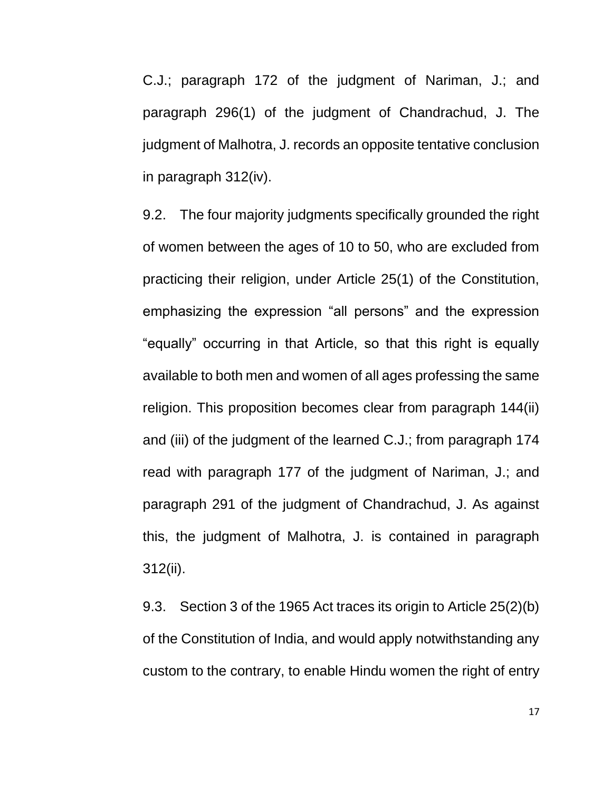C.J.; paragraph 172 of the judgment of Nariman, J.; and paragraph 296(1) of the judgment of Chandrachud, J. The judgment of Malhotra, J. records an opposite tentative conclusion in paragraph 312(iv).

9.2. The four majority judgments specifically grounded the right of women between the ages of 10 to 50, who are excluded from practicing their religion, under Article 25(1) of the Constitution, emphasizing the expression "all persons" and the expression "equally" occurring in that Article, so that this right is equally available to both men and women of all ages professing the same religion. This proposition becomes clear from paragraph 144(ii) and (iii) of the judgment of the learned C.J.; from paragraph 174 read with paragraph 177 of the judgment of Nariman, J.; and paragraph 291 of the judgment of Chandrachud, J. As against this, the judgment of Malhotra, J. is contained in paragraph 312(ii).

9.3. Section 3 of the 1965 Act traces its origin to Article 25(2)(b) of the Constitution of India, and would apply notwithstanding any custom to the contrary, to enable Hindu women the right of entry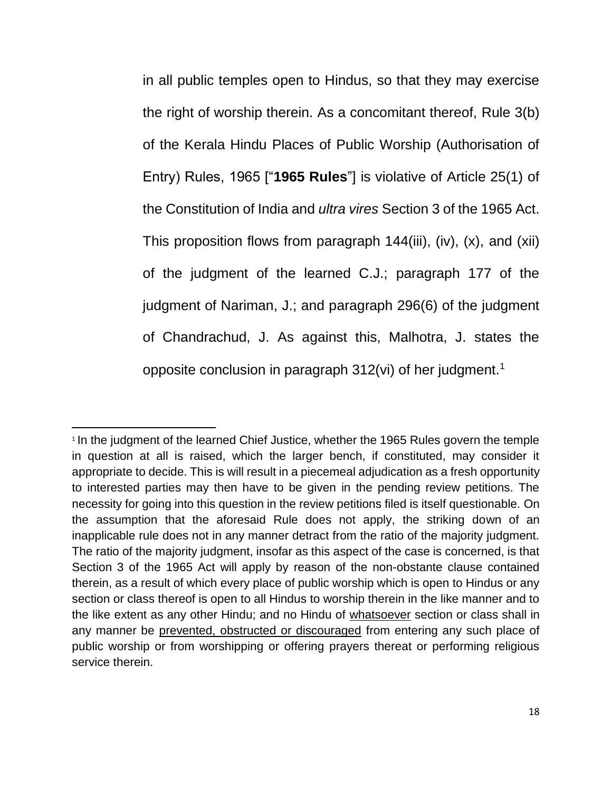in all public temples open to Hindus, so that they may exercise the right of worship therein. As a concomitant thereof, Rule 3(b) of the Kerala Hindu Places of Public Worship (Authorisation of Entry) Rules, 1965 ["**1965 Rules**"] is violative of Article 25(1) of the Constitution of India and *ultra vires* Section 3 of the 1965 Act. This proposition flows from paragraph 144(iii), (iv), (x), and (xii) of the judgment of the learned C.J.; paragraph 177 of the judgment of Nariman, J.; and paragraph 296(6) of the judgment of Chandrachud, J. As against this, Malhotra, J. states the opposite conclusion in paragraph  $312(vi)$  of her judgment.<sup>1</sup>

<sup>&</sup>lt;sup>1</sup> In the judgment of the learned Chief Justice, whether the 1965 Rules govern the temple in question at all is raised, which the larger bench, if constituted, may consider it appropriate to decide. This is will result in a piecemeal adjudication as a fresh opportunity to interested parties may then have to be given in the pending review petitions. The necessity for going into this question in the review petitions filed is itself questionable. On the assumption that the aforesaid Rule does not apply, the striking down of an inapplicable rule does not in any manner detract from the ratio of the majority judgment. The ratio of the majority judgment, insofar as this aspect of the case is concerned, is that Section 3 of the 1965 Act will apply by reason of the non-obstante clause contained therein, as a result of which every place of public worship which is open to Hindus or any section or class thereof is open to all Hindus to worship therein in the like manner and to the like extent as any other Hindu; and no Hindu of whatsoever section or class shall in any manner be prevented, obstructed or discouraged from entering any such place of public worship or from worshipping or offering prayers thereat or performing religious service therein.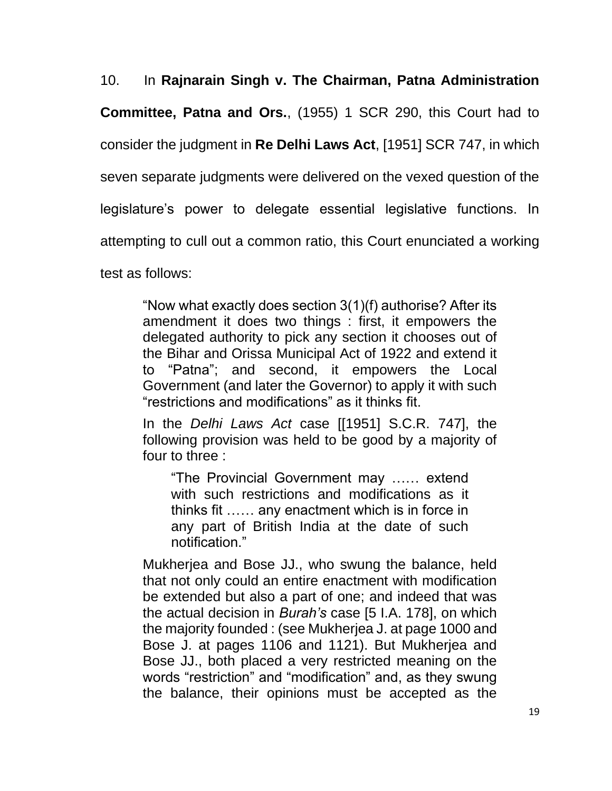10. In **Rajnarain Singh v. The Chairman, Patna Administration Committee, Patna and Ors.**, (1955) 1 SCR 290, this Court had to consider the judgment in **Re Delhi Laws Act**, [1951] SCR 747, in which seven separate judgments were delivered on the vexed question of the legislature's power to delegate essential legislative functions. In attempting to cull out a common ratio, this Court enunciated a working

test as follows:

"Now what exactly does section 3(1)(f) authorise? After its amendment it does two things : first, it empowers the delegated authority to pick any section it chooses out of the Bihar and Orissa Municipal Act of 1922 and extend it to "Patna"; and second, it empowers the Local Government (and later the Governor) to apply it with such "restrictions and modifications" as it thinks fit.

In the *Delhi Laws Act* case [[1951] S.C.R. 747], the following provision was held to be good by a majority of four to three :

"The Provincial Government may …… extend with such restrictions and modifications as it thinks fit …… any enactment which is in force in any part of British India at the date of such notification."

Mukherjea and Bose JJ., who swung the balance, held that not only could an entire enactment with modification be extended but also a part of one; and indeed that was the actual decision in *Burah's* case [5 I.A. 178], on which the majority founded : (see Mukherjea J. at page 1000 and Bose J. at pages 1106 and 1121). But Mukherjea and Bose JJ., both placed a very restricted meaning on the words "restriction" and "modification" and, as they swung the balance, their opinions must be accepted as the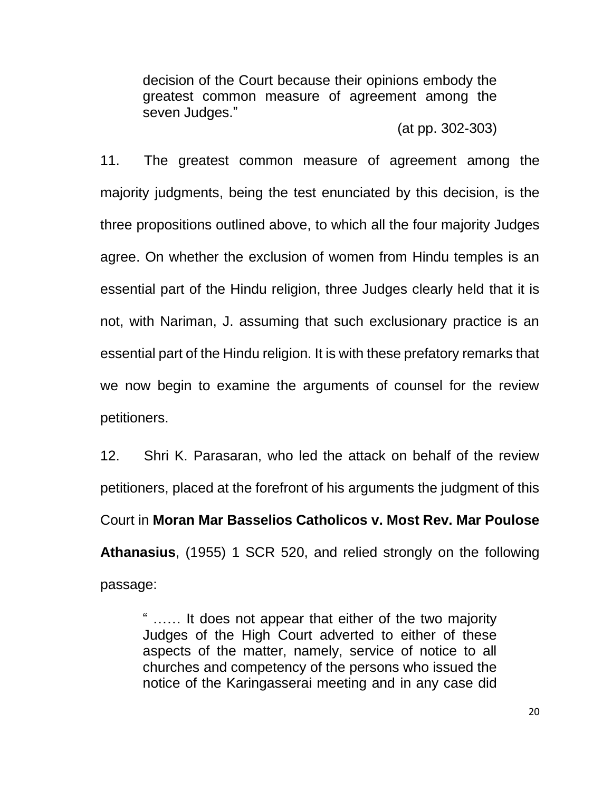decision of the Court because their opinions embody the greatest common measure of agreement among the seven Judges."

(at pp. 302-303)

11. The greatest common measure of agreement among the majority judgments, being the test enunciated by this decision, is the three propositions outlined above, to which all the four majority Judges agree. On whether the exclusion of women from Hindu temples is an essential part of the Hindu religion, three Judges clearly held that it is not, with Nariman, J. assuming that such exclusionary practice is an essential part of the Hindu religion. It is with these prefatory remarks that we now begin to examine the arguments of counsel for the review petitioners.

12. Shri K. Parasaran, who led the attack on behalf of the review petitioners, placed at the forefront of his arguments the judgment of this Court in **Moran Mar Basselios Catholicos v. Most Rev. Mar Poulose Athanasius**, (1955) 1 SCR 520, and relied strongly on the following passage:

" …… It does not appear that either of the two majority Judges of the High Court adverted to either of these aspects of the matter, namely, service of notice to all churches and competency of the persons who issued the notice of the Karingasserai meeting and in any case did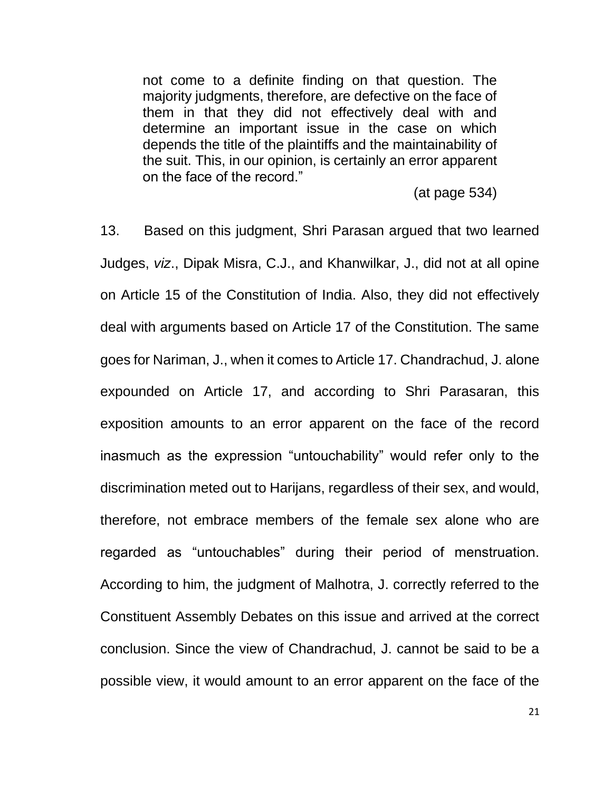not come to a definite finding on that question. The majority judgments, therefore, are defective on the face of them in that they did not effectively deal with and determine an important issue in the case on which depends the title of the plaintiffs and the maintainability of the suit. This, in our opinion, is certainly an error apparent on the face of the record."

(at page 534)

13. Based on this judgment, Shri Parasan argued that two learned Judges, *viz*., Dipak Misra, C.J., and Khanwilkar, J., did not at all opine on Article 15 of the Constitution of India. Also, they did not effectively deal with arguments based on Article 17 of the Constitution. The same goes for Nariman, J., when it comes to Article 17. Chandrachud, J. alone expounded on Article 17, and according to Shri Parasaran, this exposition amounts to an error apparent on the face of the record inasmuch as the expression "untouchability" would refer only to the discrimination meted out to Harijans, regardless of their sex, and would, therefore, not embrace members of the female sex alone who are regarded as "untouchables" during their period of menstruation. According to him, the judgment of Malhotra, J. correctly referred to the Constituent Assembly Debates on this issue and arrived at the correct conclusion. Since the view of Chandrachud, J. cannot be said to be a possible view, it would amount to an error apparent on the face of the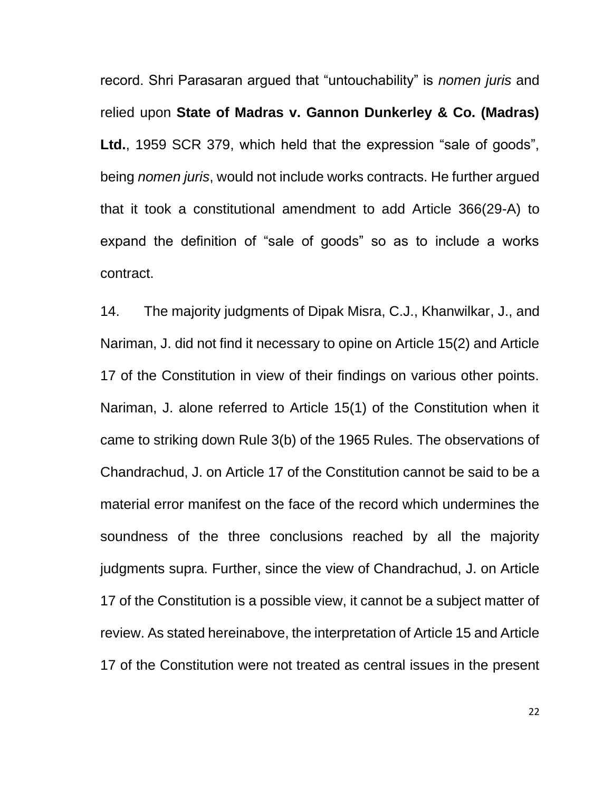record. Shri Parasaran argued that "untouchability" is *nomen juris* and relied upon **State of Madras v. Gannon Dunkerley & Co. (Madras) Ltd.**, 1959 SCR 379, which held that the expression "sale of goods", being *nomen juris*, would not include works contracts. He further argued that it took a constitutional amendment to add Article 366(29-A) to expand the definition of "sale of goods" so as to include a works contract.

14. The majority judgments of Dipak Misra, C.J., Khanwilkar, J., and Nariman, J. did not find it necessary to opine on Article 15(2) and Article 17 of the Constitution in view of their findings on various other points. Nariman, J. alone referred to Article 15(1) of the Constitution when it came to striking down Rule 3(b) of the 1965 Rules. The observations of Chandrachud, J. on Article 17 of the Constitution cannot be said to be a material error manifest on the face of the record which undermines the soundness of the three conclusions reached by all the majority judgments supra. Further, since the view of Chandrachud, J. on Article 17 of the Constitution is a possible view, it cannot be a subject matter of review. As stated hereinabove, the interpretation of Article 15 and Article 17 of the Constitution were not treated as central issues in the present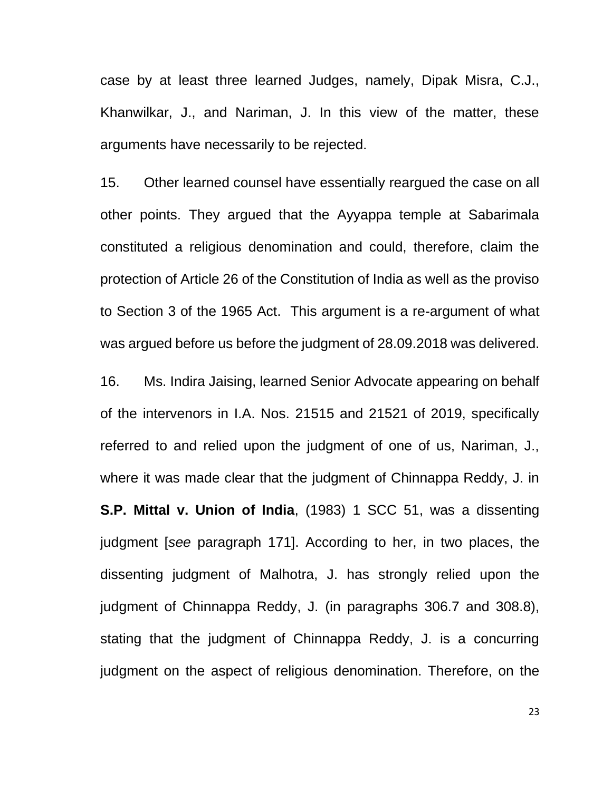case by at least three learned Judges, namely, Dipak Misra, C.J., Khanwilkar, J., and Nariman, J. In this view of the matter, these arguments have necessarily to be rejected.

15. Other learned counsel have essentially reargued the case on all other points. They argued that the Ayyappa temple at Sabarimala constituted a religious denomination and could, therefore, claim the protection of Article 26 of the Constitution of India as well as the proviso to Section 3 of the 1965 Act. This argument is a re-argument of what was argued before us before the judgment of 28.09.2018 was delivered.

16. Ms. Indira Jaising, learned Senior Advocate appearing on behalf of the intervenors in I.A. Nos. 21515 and 21521 of 2019, specifically referred to and relied upon the judgment of one of us, Nariman, J., where it was made clear that the judgment of Chinnappa Reddy, J. in **S.P. Mittal v. Union of India**, (1983) 1 SCC 51, was a dissenting judgment [*see* paragraph 171]. According to her, in two places, the dissenting judgment of Malhotra, J. has strongly relied upon the judgment of Chinnappa Reddy, J. (in paragraphs 306.7 and 308.8), stating that the judgment of Chinnappa Reddy, J. is a concurring judgment on the aspect of religious denomination. Therefore, on the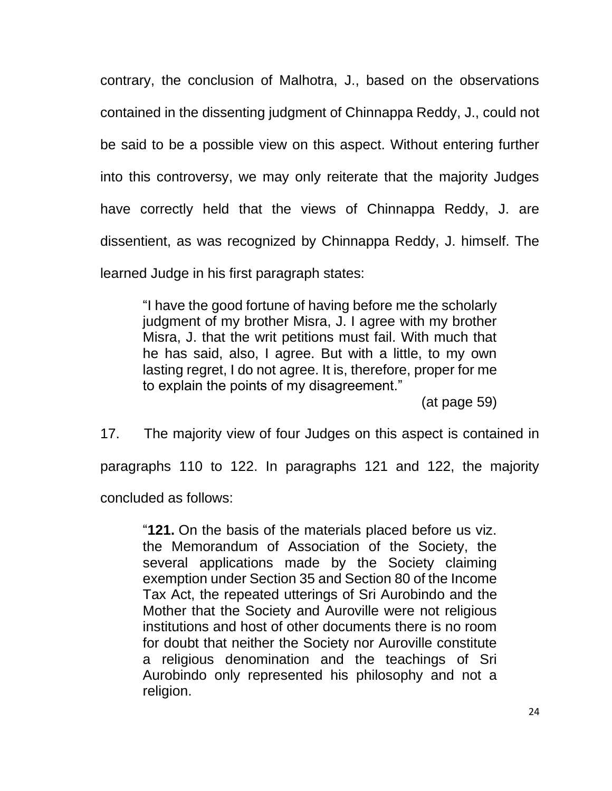contrary, the conclusion of Malhotra, J., based on the observations contained in the dissenting judgment of Chinnappa Reddy, J., could not be said to be a possible view on this aspect. Without entering further into this controversy, we may only reiterate that the majority Judges have correctly held that the views of Chinnappa Reddy, J. are dissentient, as was recognized by Chinnappa Reddy, J. himself. The learned Judge in his first paragraph states:

"I have the good fortune of having before me the scholarly judgment of my brother Misra, J. I agree with my brother Misra, J. that the writ petitions must fail. With much that he has said, also, I agree. But with a little, to my own lasting regret, I do not agree. It is, therefore, proper for me to explain the points of my disagreement."

(at page 59)

17. The majority view of four Judges on this aspect is contained in paragraphs 110 to 122. In paragraphs 121 and 122, the majority concluded as follows:

"**121.** On the basis of the materials placed before us viz. the Memorandum of Association of the Society, the several applications made by the Society claiming exemption under Section 35 and Section 80 of the Income Tax Act, the repeated utterings of Sri Aurobindo and the Mother that the Society and Auroville were not religious institutions and host of other documents there is no room for doubt that neither the Society nor Auroville constitute a religious denomination and the teachings of Sri Aurobindo only represented his philosophy and not a religion.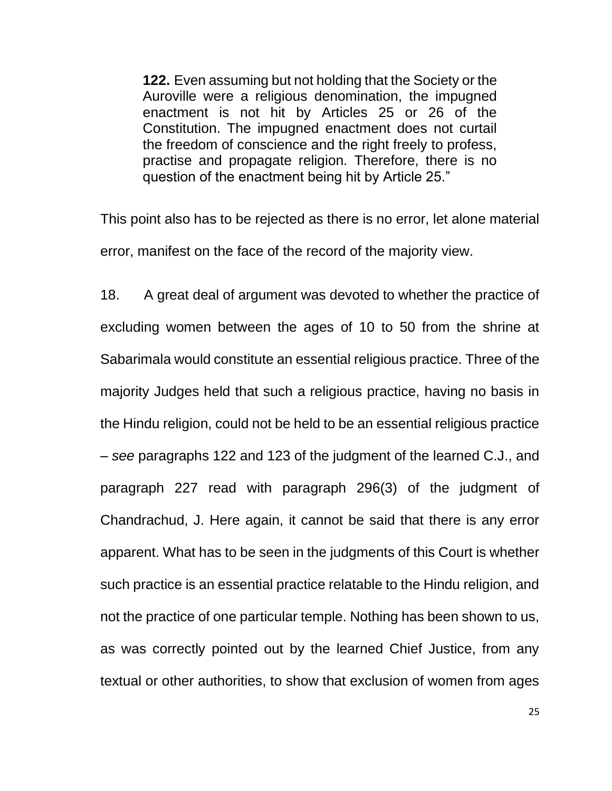**122.** Even assuming but not holding that the Society or the Auroville were a religious denomination, the impugned enactment is not hit by Articles 25 or 26 of the Constitution. The impugned enactment does not curtail the freedom of conscience and the right freely to profess, practise and propagate religion. Therefore, there is no question of the enactment being hit by Article 25."

This point also has to be rejected as there is no error, let alone material error, manifest on the face of the record of the majority view.

18. A great deal of argument was devoted to whether the practice of excluding women between the ages of 10 to 50 from the shrine at Sabarimala would constitute an essential religious practice. Three of the majority Judges held that such a religious practice, having no basis in the Hindu religion, could not be held to be an essential religious practice – *see* paragraphs 122 and 123 of the judgment of the learned C.J., and paragraph 227 read with paragraph 296(3) of the judgment of Chandrachud, J. Here again, it cannot be said that there is any error apparent. What has to be seen in the judgments of this Court is whether such practice is an essential practice relatable to the Hindu religion, and not the practice of one particular temple. Nothing has been shown to us, as was correctly pointed out by the learned Chief Justice, from any textual or other authorities, to show that exclusion of women from ages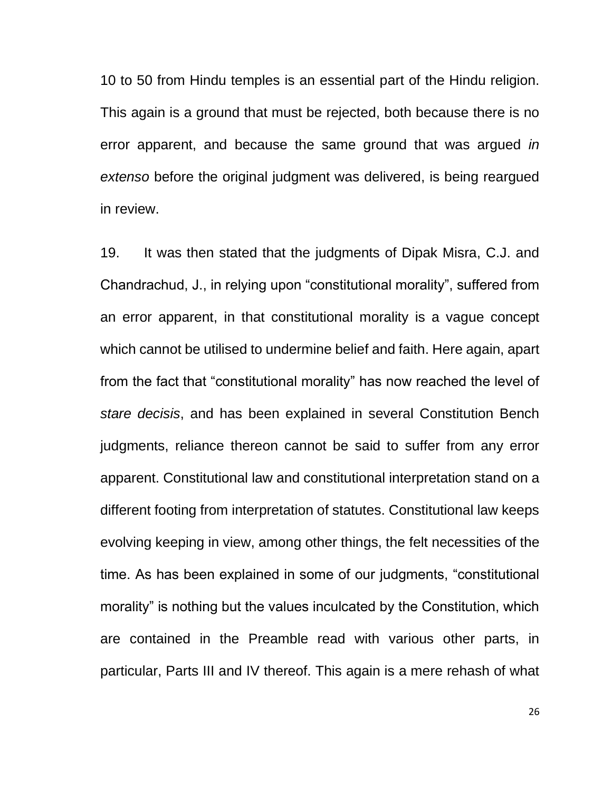10 to 50 from Hindu temples is an essential part of the Hindu religion. This again is a ground that must be rejected, both because there is no error apparent, and because the same ground that was argued *in extenso* before the original judgment was delivered, is being reargued in review.

19. It was then stated that the judgments of Dipak Misra, C.J. and Chandrachud, J., in relying upon "constitutional morality", suffered from an error apparent, in that constitutional morality is a vague concept which cannot be utilised to undermine belief and faith. Here again, apart from the fact that "constitutional morality" has now reached the level of *stare decisis*, and has been explained in several Constitution Bench judgments, reliance thereon cannot be said to suffer from any error apparent. Constitutional law and constitutional interpretation stand on a different footing from interpretation of statutes. Constitutional law keeps evolving keeping in view, among other things, the felt necessities of the time. As has been explained in some of our judgments, "constitutional morality" is nothing but the values inculcated by the Constitution, which are contained in the Preamble read with various other parts, in particular, Parts III and IV thereof. This again is a mere rehash of what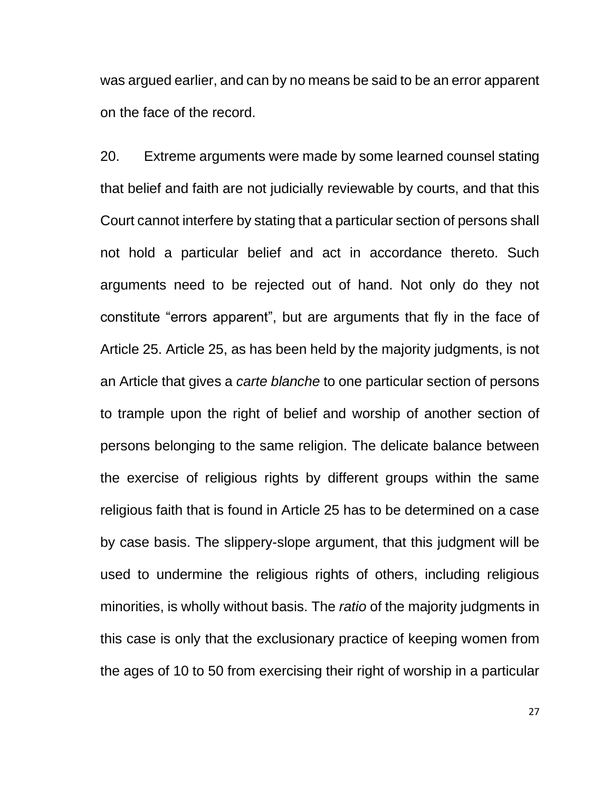was argued earlier, and can by no means be said to be an error apparent on the face of the record.

20. Extreme arguments were made by some learned counsel stating that belief and faith are not judicially reviewable by courts, and that this Court cannot interfere by stating that a particular section of persons shall not hold a particular belief and act in accordance thereto. Such arguments need to be rejected out of hand. Not only do they not constitute "errors apparent", but are arguments that fly in the face of Article 25. Article 25, as has been held by the majority judgments, is not an Article that gives a *carte blanche* to one particular section of persons to trample upon the right of belief and worship of another section of persons belonging to the same religion. The delicate balance between the exercise of religious rights by different groups within the same religious faith that is found in Article 25 has to be determined on a case by case basis. The slippery-slope argument, that this judgment will be used to undermine the religious rights of others, including religious minorities, is wholly without basis. The *ratio* of the majority judgments in this case is only that the exclusionary practice of keeping women from the ages of 10 to 50 from exercising their right of worship in a particular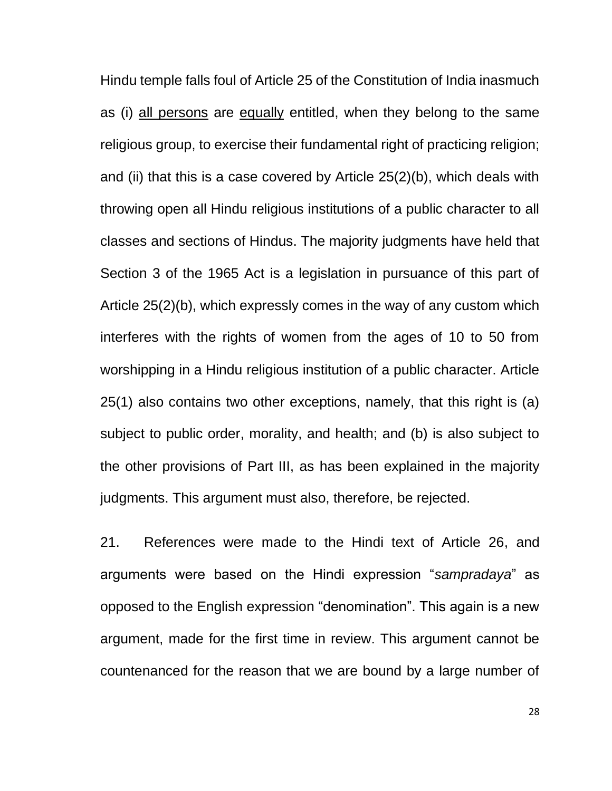Hindu temple falls foul of Article 25 of the Constitution of India inasmuch as (i) all persons are equally entitled, when they belong to the same religious group, to exercise their fundamental right of practicing religion; and (ii) that this is a case covered by Article 25(2)(b), which deals with throwing open all Hindu religious institutions of a public character to all classes and sections of Hindus. The majority judgments have held that Section 3 of the 1965 Act is a legislation in pursuance of this part of Article 25(2)(b), which expressly comes in the way of any custom which interferes with the rights of women from the ages of 10 to 50 from worshipping in a Hindu religious institution of a public character. Article 25(1) also contains two other exceptions, namely, that this right is (a) subject to public order, morality, and health; and (b) is also subject to the other provisions of Part III, as has been explained in the majority judgments. This argument must also, therefore, be rejected.

21. References were made to the Hindi text of Article 26, and arguments were based on the Hindi expression "*sampradaya*" as opposed to the English expression "denomination". This again is a new argument, made for the first time in review. This argument cannot be countenanced for the reason that we are bound by a large number of

28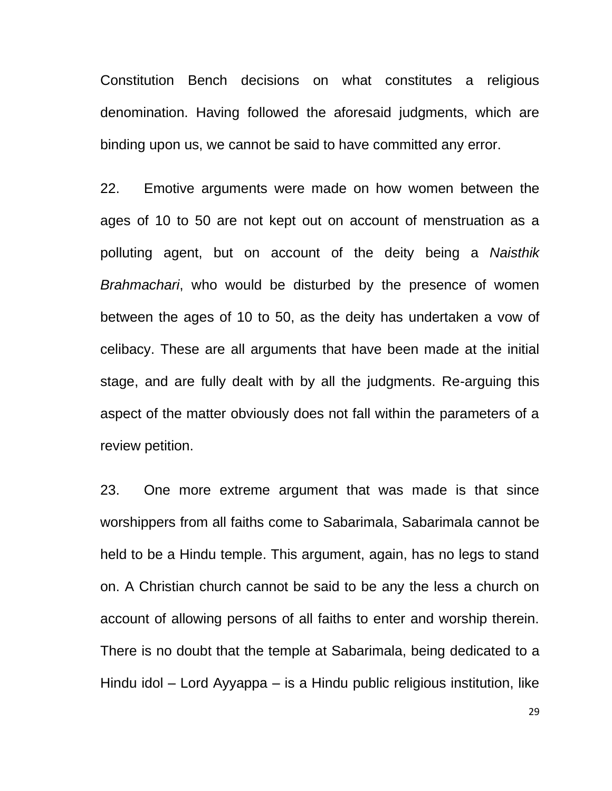Constitution Bench decisions on what constitutes a religious denomination. Having followed the aforesaid judgments, which are binding upon us, we cannot be said to have committed any error.

22. Emotive arguments were made on how women between the ages of 10 to 50 are not kept out on account of menstruation as a polluting agent, but on account of the deity being a *Naisthik Brahmachari*, who would be disturbed by the presence of women between the ages of 10 to 50, as the deity has undertaken a vow of celibacy. These are all arguments that have been made at the initial stage, and are fully dealt with by all the judgments. Re-arguing this aspect of the matter obviously does not fall within the parameters of a review petition.

23. One more extreme argument that was made is that since worshippers from all faiths come to Sabarimala, Sabarimala cannot be held to be a Hindu temple. This argument, again, has no legs to stand on. A Christian church cannot be said to be any the less a church on account of allowing persons of all faiths to enter and worship therein. There is no doubt that the temple at Sabarimala, being dedicated to a Hindu idol – Lord Ayyappa – is a Hindu public religious institution, like

29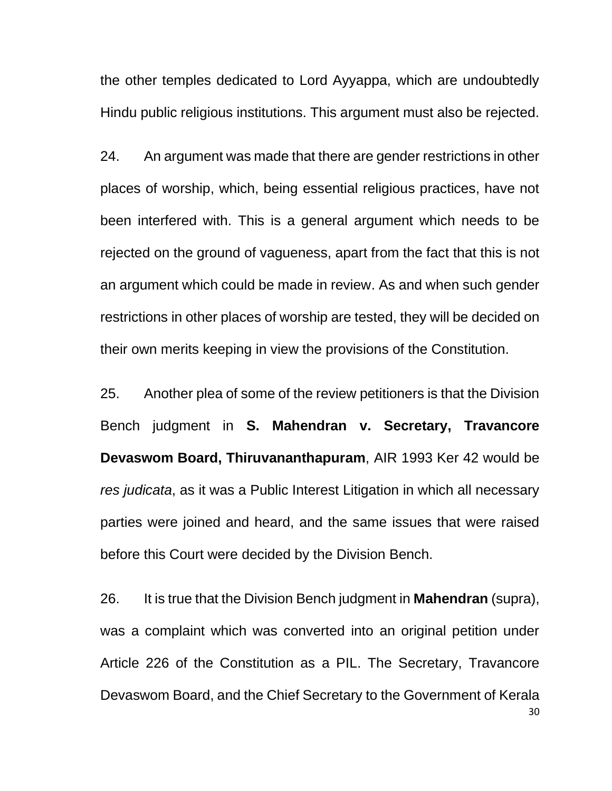the other temples dedicated to Lord Ayyappa, which are undoubtedly Hindu public religious institutions. This argument must also be rejected.

24. An argument was made that there are gender restrictions in other places of worship, which, being essential religious practices, have not been interfered with. This is a general argument which needs to be rejected on the ground of vagueness, apart from the fact that this is not an argument which could be made in review. As and when such gender restrictions in other places of worship are tested, they will be decided on their own merits keeping in view the provisions of the Constitution.

25. Another plea of some of the review petitioners is that the Division Bench judgment in **S. Mahendran v. Secretary, Travancore Devaswom Board, Thiruvananthapuram**, AIR 1993 Ker 42 would be *res judicata*, as it was a Public Interest Litigation in which all necessary parties were joined and heard, and the same issues that were raised before this Court were decided by the Division Bench.

30 26. It is true that the Division Bench judgment in **Mahendran** (supra), was a complaint which was converted into an original petition under Article 226 of the Constitution as a PIL. The Secretary, Travancore Devaswom Board, and the Chief Secretary to the Government of Kerala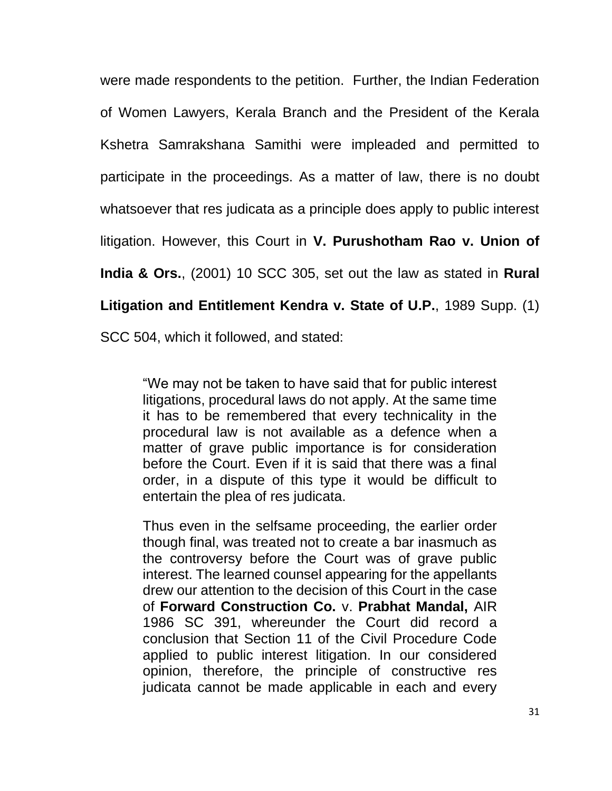were made respondents to the petition. Further, the Indian Federation of Women Lawyers, Kerala Branch and the President of the Kerala Kshetra Samrakshana Samithi were impleaded and permitted to participate in the proceedings. As a matter of law, there is no doubt whatsoever that res judicata as a principle does apply to public interest litigation. However, this Court in **V. Purushotham Rao v. Union of India & Ors.**, (2001) 10 SCC 305, set out the law as stated in **Rural Litigation and Entitlement Kendra v. State of U.P.**, 1989 Supp. (1)

SCC 504, which it followed, and stated:

"We may not be taken to have said that for public interest litigations, procedural laws do not apply. At the same time it has to be remembered that every technicality in the procedural law is not available as a defence when a matter of grave public importance is for consideration before the Court. Even if it is said that there was a final order, in a dispute of this type it would be difficult to entertain the plea of res judicata.

Thus even in the selfsame proceeding, the earlier order though final, was treated not to create a bar inasmuch as the controversy before the Court was of grave public interest. The learned counsel appearing for the appellants drew our attention to the decision of this Court in the case of **Forward Construction Co.** v. **Prabhat Mandal,** AIR 1986 SC 391, whereunder the Court did record a conclusion that Section 11 of the Civil Procedure Code applied to public interest litigation. In our considered opinion, therefore, the principle of constructive res judicata cannot be made applicable in each and every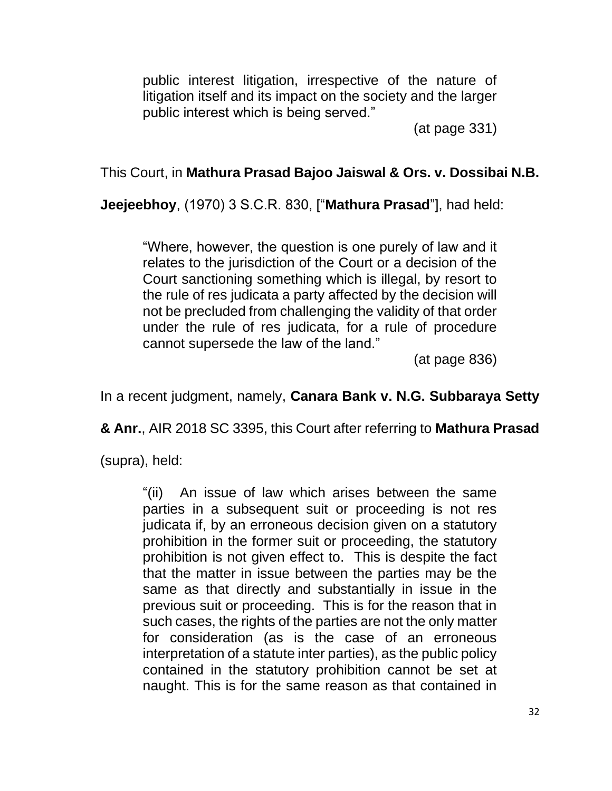public interest litigation, irrespective of the nature of litigation itself and its impact on the society and the larger public interest which is being served."

(at page 331)

This Court, in **Mathura Prasad Bajoo Jaiswal & Ors. v. Dossibai N.B.** 

**Jeejeebhoy**, (1970) 3 S.C.R. 830, ["**Mathura Prasad**"], had held:

"Where, however, the question is one purely of law and it relates to the jurisdiction of the Court or a decision of the Court sanctioning something which is illegal, by resort to the rule of res judicata a party affected by the decision will not be precluded from challenging the validity of that order under the rule of res judicata, for a rule of procedure cannot supersede the law of the land."

(at page 836)

In a recent judgment, namely, **Canara Bank v. N.G. Subbaraya Setty** 

**& Anr.**, AIR 2018 SC 3395, this Court after referring to **Mathura Prasad** 

(supra), held:

"(ii) An issue of law which arises between the same parties in a subsequent suit or proceeding is not res judicata if, by an erroneous decision given on a statutory prohibition in the former suit or proceeding, the statutory prohibition is not given effect to. This is despite the fact that the matter in issue between the parties may be the same as that directly and substantially in issue in the previous suit or proceeding. This is for the reason that in such cases, the rights of the parties are not the only matter for consideration (as is the case of an erroneous interpretation of a statute inter parties), as the public policy contained in the statutory prohibition cannot be set at naught. This is for the same reason as that contained in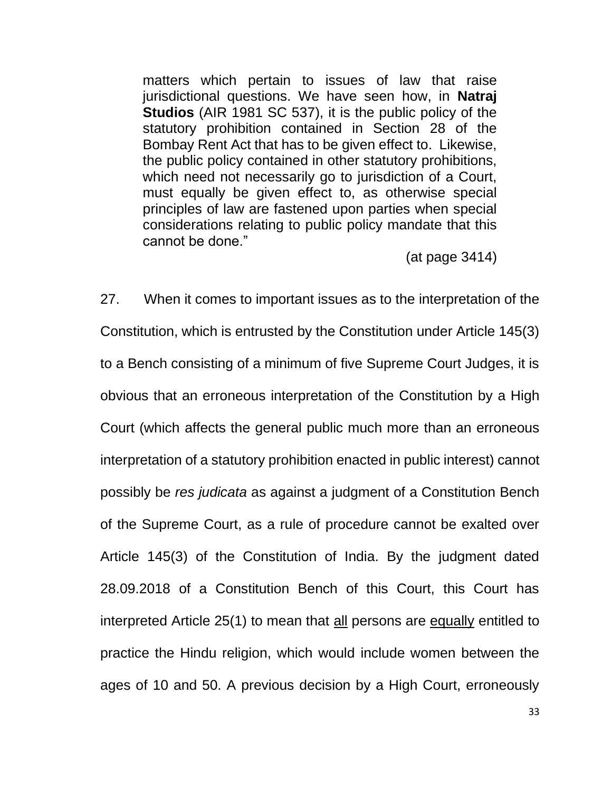matters which pertain to issues of law that raise jurisdictional questions. We have seen how, in **Natraj Studios** (AIR 1981 SC 537), it is the public policy of the statutory prohibition contained in Section 28 of the Bombay Rent Act that has to be given effect to. Likewise, the public policy contained in other statutory prohibitions, which need not necessarily go to jurisdiction of a Court, must equally be given effect to, as otherwise special principles of law are fastened upon parties when special considerations relating to public policy mandate that this cannot be done."

(at page 3414)

27. When it comes to important issues as to the interpretation of the Constitution, which is entrusted by the Constitution under Article 145(3) to a Bench consisting of a minimum of five Supreme Court Judges, it is obvious that an erroneous interpretation of the Constitution by a High Court (which affects the general public much more than an erroneous interpretation of a statutory prohibition enacted in public interest) cannot possibly be *res judicata* as against a judgment of a Constitution Bench of the Supreme Court, as a rule of procedure cannot be exalted over Article 145(3) of the Constitution of India. By the judgment dated 28.09.2018 of a Constitution Bench of this Court, this Court has interpreted Article 25(1) to mean that all persons are equally entitled to practice the Hindu religion, which would include women between the ages of 10 and 50. A previous decision by a High Court, erroneously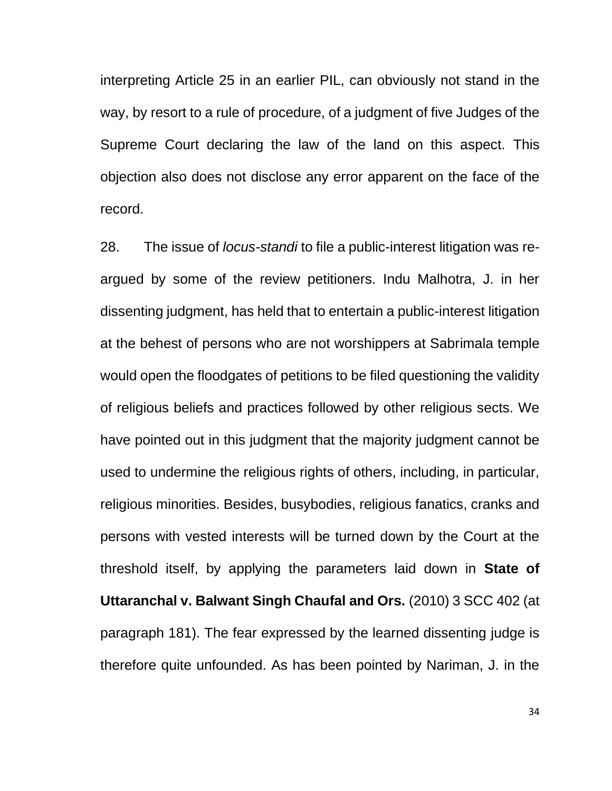interpreting Article 25 in an earlier PIL, can obviously not stand in the way, by resort to a rule of procedure, of a judgment of five Judges of the Supreme Court declaring the law of the land on this aspect. This objection also does not disclose any error apparent on the face of the record.

28. The issue of *locus-standi* to file a public-interest litigation was reargued by some of the review petitioners. Indu Malhotra, J. in her dissenting judgment, has held that to entertain a public-interest litigation at the behest of persons who are not worshippers at Sabrimala temple would open the floodgates of petitions to be filed questioning the validity of religious beliefs and practices followed by other religious sects. We have pointed out in this judgment that the majority judgment cannot be used to undermine the religious rights of others, including, in particular, religious minorities. Besides, busybodies, religious fanatics, cranks and persons with vested interests will be turned down by the Court at the threshold itself, by applying the parameters laid down in **State of Uttaranchal v. Balwant Singh Chaufal and Ors.** (2010) 3 SCC 402 (at paragraph 181). The fear expressed by the learned dissenting judge is therefore quite unfounded. As has been pointed by Nariman, J. in the

34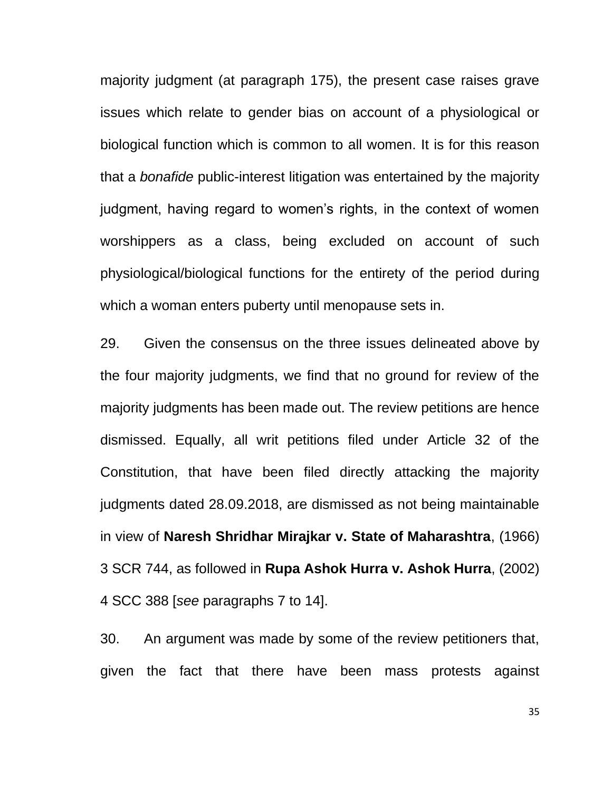majority judgment (at paragraph 175), the present case raises grave issues which relate to gender bias on account of a physiological or biological function which is common to all women. It is for this reason that a *bonafide* public-interest litigation was entertained by the majority judgment, having regard to women's rights, in the context of women worshippers as a class, being excluded on account of such physiological/biological functions for the entirety of the period during which a woman enters puberty until menopause sets in.

29. Given the consensus on the three issues delineated above by the four majority judgments, we find that no ground for review of the majority judgments has been made out. The review petitions are hence dismissed. Equally, all writ petitions filed under Article 32 of the Constitution, that have been filed directly attacking the majority judgments dated 28.09.2018, are dismissed as not being maintainable in view of **Naresh Shridhar Mirajkar v. State of Maharashtra**, (1966) 3 SCR 744, as followed in **Rupa Ashok Hurra v. Ashok Hurra**, (2002) 4 SCC 388 [*see* paragraphs 7 to 14].

30. An argument was made by some of the review petitioners that, given the fact that there have been mass protests against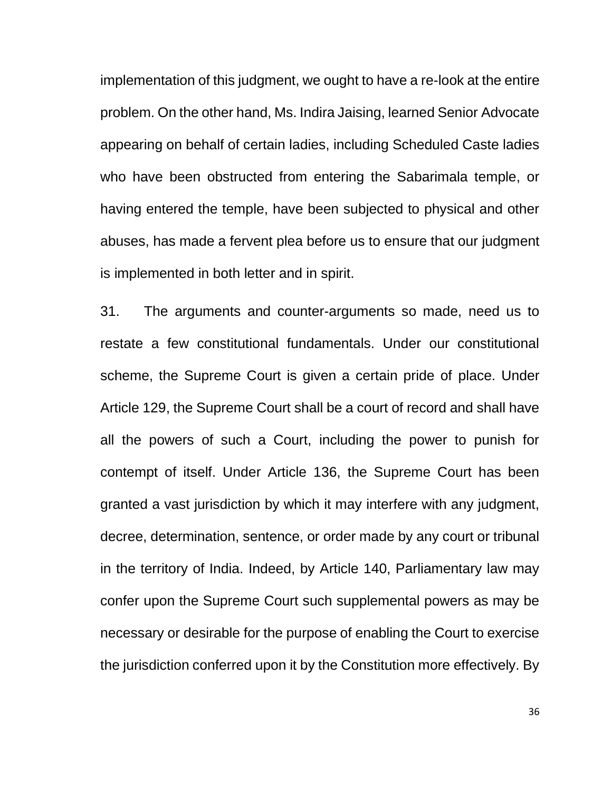implementation of this judgment, we ought to have a re-look at the entire problem. On the other hand, Ms. Indira Jaising, learned Senior Advocate appearing on behalf of certain ladies, including Scheduled Caste ladies who have been obstructed from entering the Sabarimala temple, or having entered the temple, have been subjected to physical and other abuses, has made a fervent plea before us to ensure that our judgment is implemented in both letter and in spirit.

31. The arguments and counter-arguments so made, need us to restate a few constitutional fundamentals. Under our constitutional scheme, the Supreme Court is given a certain pride of place. Under Article 129, the Supreme Court shall be a court of record and shall have all the powers of such a Court, including the power to punish for contempt of itself. Under Article 136, the Supreme Court has been granted a vast jurisdiction by which it may interfere with any judgment, decree, determination, sentence, or order made by any court or tribunal in the territory of India. Indeed, by Article 140, Parliamentary law may confer upon the Supreme Court such supplemental powers as may be necessary or desirable for the purpose of enabling the Court to exercise the jurisdiction conferred upon it by the Constitution more effectively. By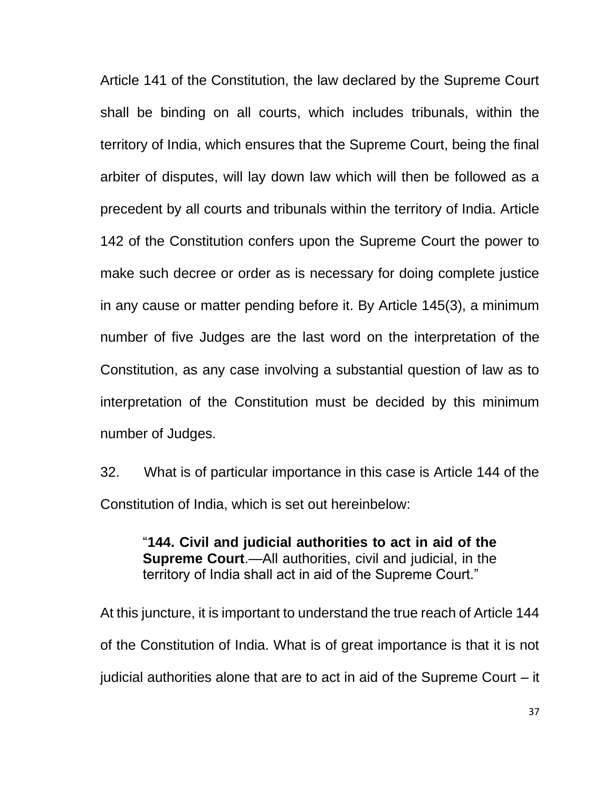Article 141 of the Constitution, the law declared by the Supreme Court shall be binding on all courts, which includes tribunals, within the territory of India, which ensures that the Supreme Court, being the final arbiter of disputes, will lay down law which will then be followed as a precedent by all courts and tribunals within the territory of India. Article 142 of the Constitution confers upon the Supreme Court the power to make such decree or order as is necessary for doing complete justice in any cause or matter pending before it. By Article 145(3), a minimum number of five Judges are the last word on the interpretation of the Constitution, as any case involving a substantial question of law as to interpretation of the Constitution must be decided by this minimum number of Judges.

32. What is of particular importance in this case is Article 144 of the Constitution of India, which is set out hereinbelow:

"**144. Civil and judicial authorities to act in aid of the Supreme Court**.—All authorities, civil and judicial, in the territory of India shall act in aid of the Supreme Court."

At this juncture, it is important to understand the true reach of Article 144 of the Constitution of India. What is of great importance is that it is not judicial authorities alone that are to act in aid of the Supreme Court – it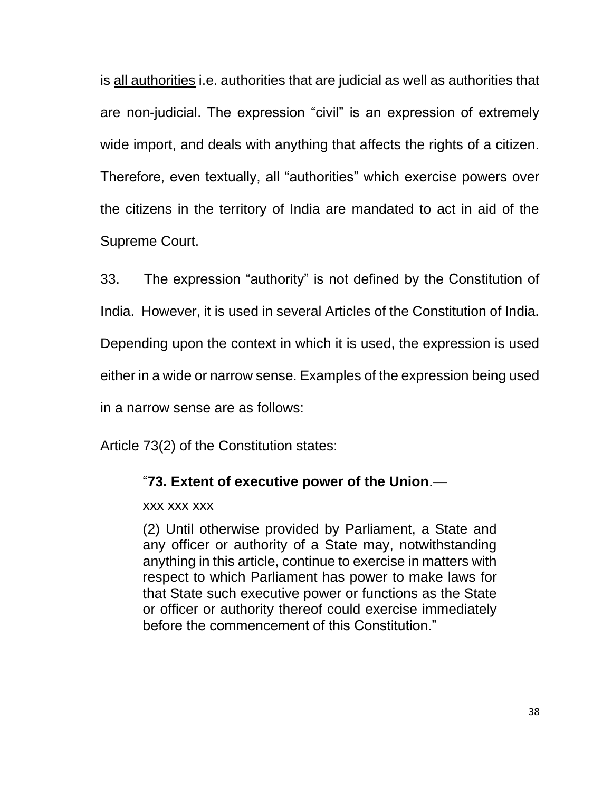is all authorities i.e. authorities that are judicial as well as authorities that are non-judicial. The expression "civil" is an expression of extremely wide import, and deals with anything that affects the rights of a citizen. Therefore, even textually, all "authorities" which exercise powers over the citizens in the territory of India are mandated to act in aid of the Supreme Court.

33. The expression "authority" is not defined by the Constitution of India. However, it is used in several Articles of the Constitution of India. Depending upon the context in which it is used, the expression is used either in a wide or narrow sense. Examples of the expression being used in a narrow sense are as follows:

Article 73(2) of the Constitution states:

#### "**73. Extent of executive power of the Union**.—

#### xxx xxx xxx

(2) Until otherwise provided by Parliament, a State and any officer or authority of a State may, notwithstanding anything in this article, continue to exercise in matters with respect to which Parliament has power to make laws for that State such executive power or functions as the State or officer or authority thereof could exercise immediately before the commencement of this Constitution."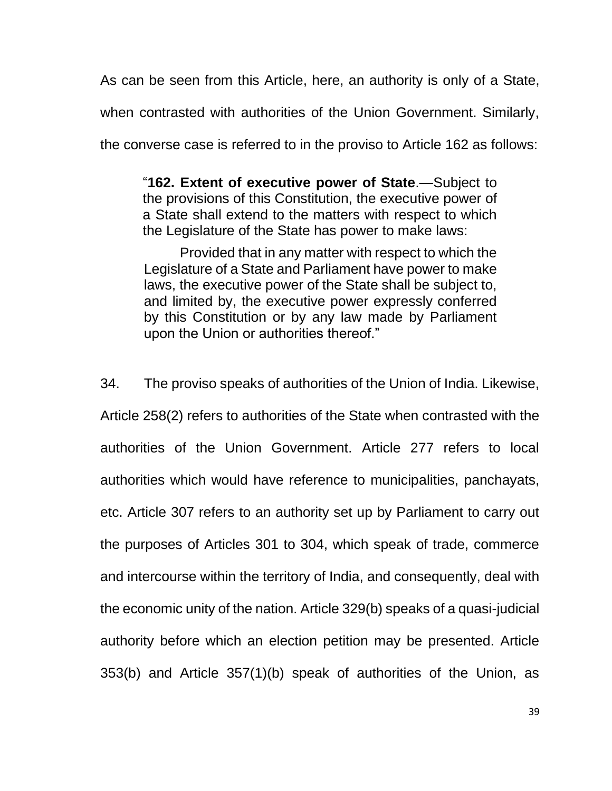As can be seen from this Article, here, an authority is only of a State, when contrasted with authorities of the Union Government. Similarly, the converse case is referred to in the proviso to Article 162 as follows:

"**162. Extent of executive power of State**.—Subject to the provisions of this Constitution, the executive power of a State shall extend to the matters with respect to which the Legislature of the State has power to make laws:

Provided that in any matter with respect to which the Legislature of a State and Parliament have power to make laws, the executive power of the State shall be subject to, and limited by, the executive power expressly conferred by this Constitution or by any law made by Parliament upon the Union or authorities thereof."

34. The proviso speaks of authorities of the Union of India. Likewise, Article 258(2) refers to authorities of the State when contrasted with the authorities of the Union Government. Article 277 refers to local authorities which would have reference to municipalities, panchayats, etc. Article 307 refers to an authority set up by Parliament to carry out the purposes of Articles 301 to 304, which speak of trade, commerce and intercourse within the territory of India, and consequently, deal with the economic unity of the nation. Article 329(b) speaks of a quasi-judicial authority before which an election petition may be presented. Article 353(b) and Article 357(1)(b) speak of authorities of the Union, as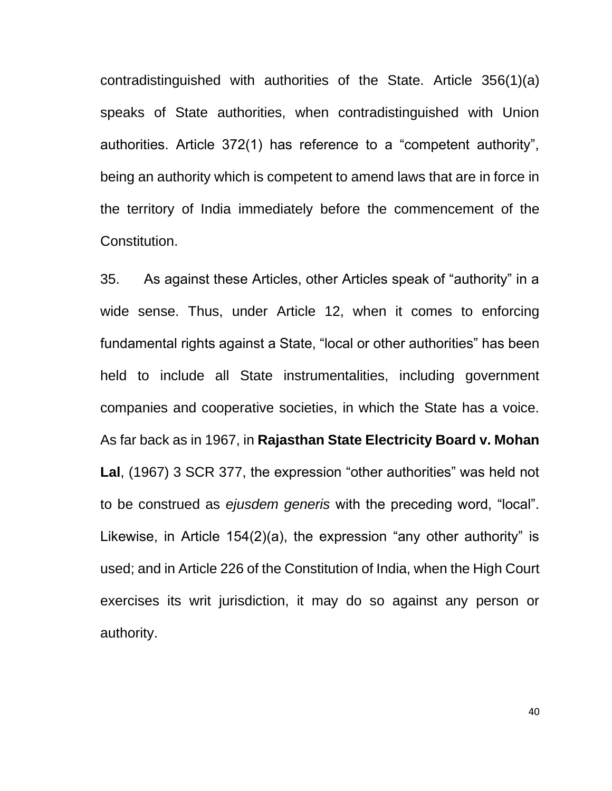contradistinguished with authorities of the State. Article 356(1)(a) speaks of State authorities, when contradistinguished with Union authorities. Article 372(1) has reference to a "competent authority", being an authority which is competent to amend laws that are in force in the territory of India immediately before the commencement of the Constitution.

35. As against these Articles, other Articles speak of "authority" in a wide sense. Thus, under Article 12, when it comes to enforcing fundamental rights against a State, "local or other authorities" has been held to include all State instrumentalities, including government companies and cooperative societies, in which the State has a voice. As far back as in 1967, in **Rajasthan State Electricity Board v. Mohan Lal**, (1967) 3 SCR 377, the expression "other authorities" was held not to be construed as *ejusdem generis* with the preceding word, "local". Likewise, in Article 154(2)(a), the expression "any other authority" is used; and in Article 226 of the Constitution of India, when the High Court exercises its writ jurisdiction, it may do so against any person or authority.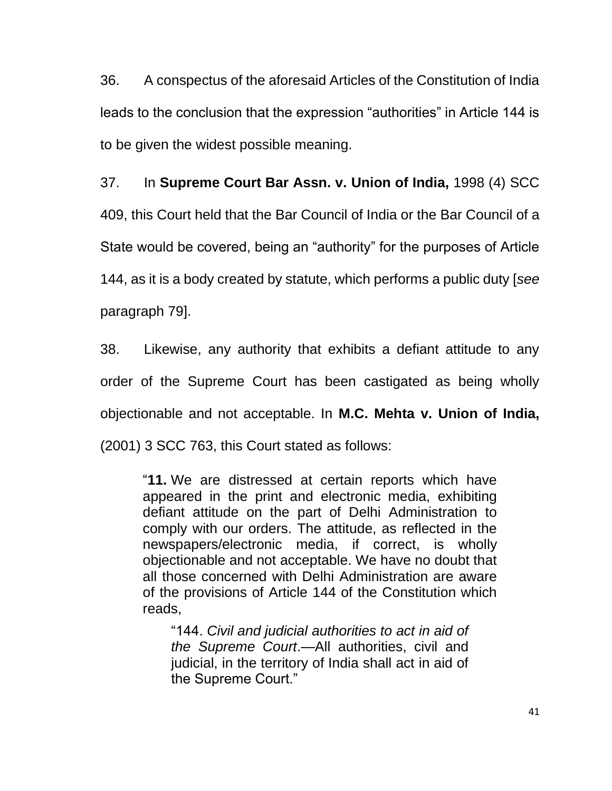36. A conspectus of the aforesaid Articles of the Constitution of India leads to the conclusion that the expression "authorities" in Article 144 is to be given the widest possible meaning.

37. In **Supreme Court Bar Assn. v. Union of India,** 1998 (4) SCC 409, this Court held that the Bar Council of India or the Bar Council of a State would be covered, being an "authority" for the purposes of Article 144, as it is a body created by statute, which performs a public duty [*see* paragraph 79].

38. Likewise, any authority that exhibits a defiant attitude to any order of the Supreme Court has been castigated as being wholly objectionable and not acceptable. In **M.C. Mehta v. Union of India,** (2001) 3 SCC 763, this Court stated as follows:

"**11.** We are distressed at certain reports which have appeared in the print and electronic media, exhibiting defiant attitude on the part of Delhi Administration to comply with our orders. The attitude, as reflected in the newspapers/electronic media, if correct, is wholly objectionable and not acceptable. We have no doubt that all those concerned with Delhi Administration are aware of the provisions of Article 144 of the Constitution which reads,

"144. *Civil and judicial authorities to act in aid of the Supreme Court*.—All authorities, civil and judicial, in the territory of India shall act in aid of the Supreme Court."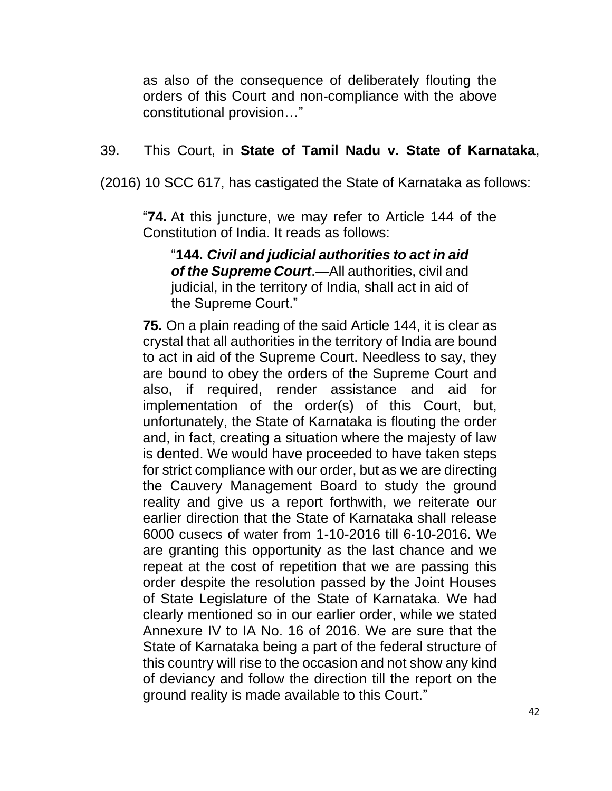as also of the consequence of deliberately flouting the orders of this Court and non-compliance with the above constitutional provision…"

### 39. This Court, in **State of Tamil Nadu v. State of Karnataka**,

(2016) 10 SCC 617, has castigated the State of Karnataka as follows:

"**74.** At this juncture, we may refer to Article 144 of the Constitution of India. It reads as follows:

"**144.** *Civil and judicial authorities to act in aid of the Supreme Court*.—All authorities, civil and judicial, in the territory of India, shall act in aid of the Supreme Court."

**75.** On a plain reading of the said Article 144, it is clear as crystal that all authorities in the territory of India are bound to act in aid of the Supreme Court. Needless to say, they are bound to obey the orders of the Supreme Court and also, if required, render assistance and aid for implementation of the order(s) of this Court, but, unfortunately, the State of Karnataka is flouting the order and, in fact, creating a situation where the majesty of law is dented. We would have proceeded to have taken steps for strict compliance with our order, but as we are directing the Cauvery Management Board to study the ground reality and give us a report forthwith, we reiterate our earlier direction that the State of Karnataka shall release 6000 cusecs of water from 1-10-2016 till 6-10-2016. We are granting this opportunity as the last chance and we repeat at the cost of repetition that we are passing this order despite the resolution passed by the Joint Houses of State Legislature of the State of Karnataka. We had clearly mentioned so in our earlier order, while we stated Annexure IV to IA No. 16 of 2016. We are sure that the State of Karnataka being a part of the federal structure of this country will rise to the occasion and not show any kind of deviancy and follow the direction till the report on the ground reality is made available to this Court."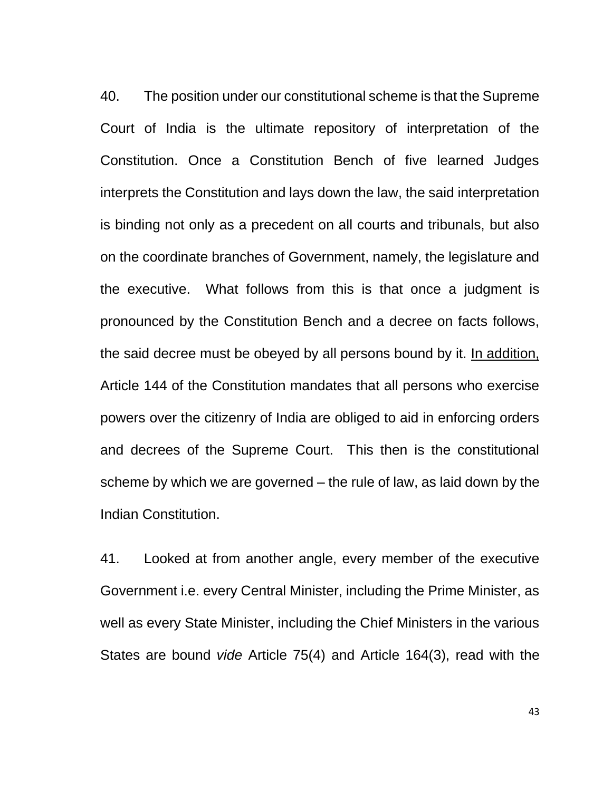40. The position under our constitutional scheme is that the Supreme Court of India is the ultimate repository of interpretation of the Constitution. Once a Constitution Bench of five learned Judges interprets the Constitution and lays down the law, the said interpretation is binding not only as a precedent on all courts and tribunals, but also on the coordinate branches of Government, namely, the legislature and the executive. What follows from this is that once a judgment is pronounced by the Constitution Bench and a decree on facts follows, the said decree must be obeyed by all persons bound by it. In addition, Article 144 of the Constitution mandates that all persons who exercise powers over the citizenry of India are obliged to aid in enforcing orders and decrees of the Supreme Court. This then is the constitutional scheme by which we are governed – the rule of law, as laid down by the Indian Constitution.

41. Looked at from another angle, every member of the executive Government i.e. every Central Minister, including the Prime Minister, as well as every State Minister, including the Chief Ministers in the various States are bound *vide* Article 75(4) and Article 164(3), read with the

43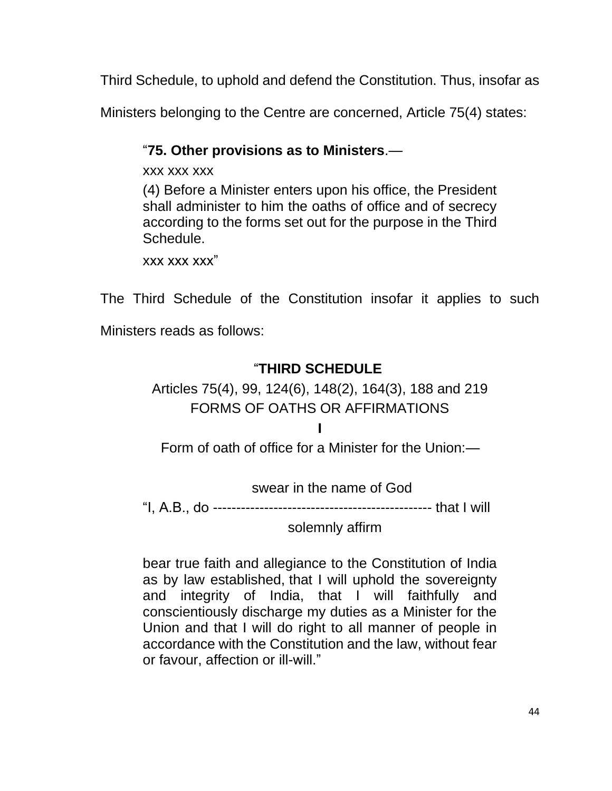Third Schedule, to uphold and defend the Constitution. Thus, insofar as

Ministers belonging to the Centre are concerned, Article 75(4) states:

# "**75. Other provisions as to Ministers**.—

xxx xxx xxx

(4) Before a Minister enters upon his office, the President shall administer to him the oaths of office and of secrecy according to the forms set out for the purpose in the Third Schedule.

xxx xxx xxx"

The Third Schedule of the Constitution insofar it applies to such

Ministers reads as follows:

# "**THIRD SCHEDULE**

Articles 75(4), 99, 124(6), 148(2), 164(3), 188 and 219 FORMS OF OATHS OR AFFIRMATIONS

**I**

Form of oath of office for a Minister for the Union:—

swear in the name of God "I, A.B., do ----------------------------------------------- that I will

solemnly affirm

bear true faith and allegiance to the Constitution of India as by law established, that I will uphold the sovereignty and integrity of India, that I will faithfully and conscientiously discharge my duties as a Minister for the Union and that I will do right to all manner of people in accordance with the Constitution and the law, without fear or favour, affection or ill-will."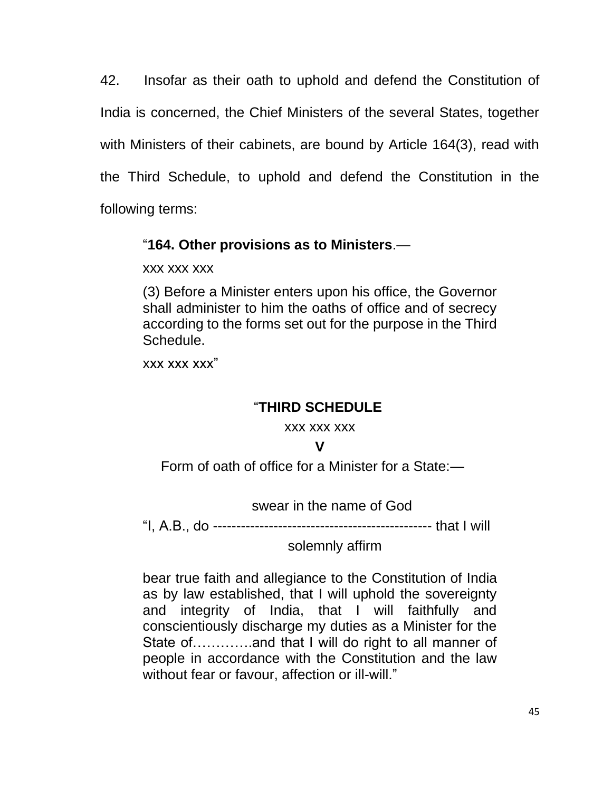42. Insofar as their oath to uphold and defend the Constitution of India is concerned, the Chief Ministers of the several States, together with Ministers of their cabinets, are bound by Article 164(3), read with the Third Schedule, to uphold and defend the Constitution in the following terms:

### "**164. Other provisions as to Ministers**.—

xxx xxx xxx

(3) Before a Minister enters upon his office, the Governor shall administer to him the oaths of office and of secrecy according to the forms set out for the purpose in the Third Schedule.

xxx xxx xxx"

# "**THIRD SCHEDULE**

xxx xxx xxx

#### **V**

Form of oath of office for a Minister for a State:—

swear in the name of God

"I, A.B., do ----------------------------------------------- that I will

solemnly affirm

bear true faith and allegiance to the Constitution of India as by law established, that I will uphold the sovereignty and integrity of India, that I will faithfully and conscientiously discharge my duties as a Minister for the State of………….and that I will do right to all manner of people in accordance with the Constitution and the law without fear or favour, affection or ill-will."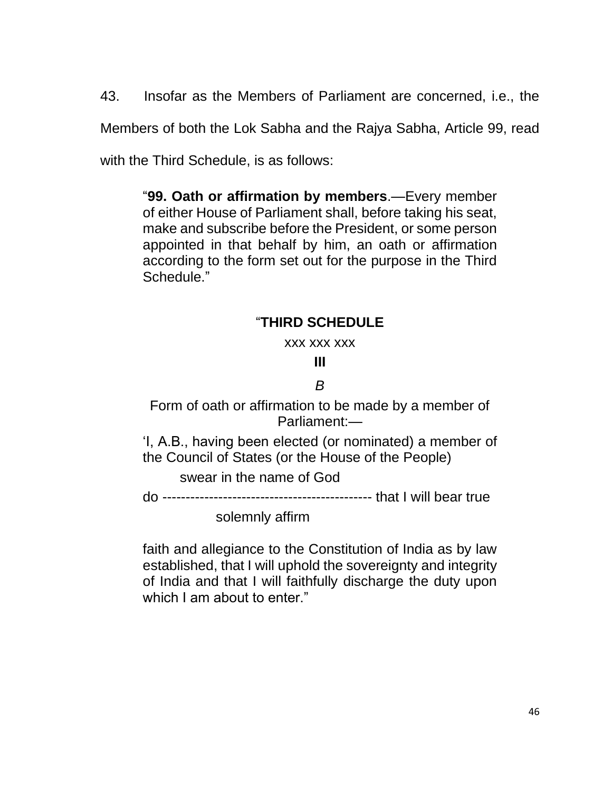43. Insofar as the Members of Parliament are concerned, i.e., the

Members of both the Lok Sabha and the Rajya Sabha, Article 99, read

with the Third Schedule, is as follows:

"**99. Oath or affirmation by members**.—Every member of either House of Parliament shall, before taking his seat, make and subscribe before the President, or some person appointed in that behalf by him, an oath or affirmation according to the form set out for the purpose in the Third Schedule."

### "**THIRD SCHEDULE**

xxx xxx xxx

### **III**

### *B*

Form of oath or affirmation to be made by a member of Parliament:—

'I, A.B., having been elected (or nominated) a member of the Council of States (or the House of the People)

swear in the name of God

do --------------------------------------------- that I will bear true

solemnly affirm

faith and allegiance to the Constitution of India as by law established, that I will uphold the sovereignty and integrity of India and that I will faithfully discharge the duty upon which I am about to enter."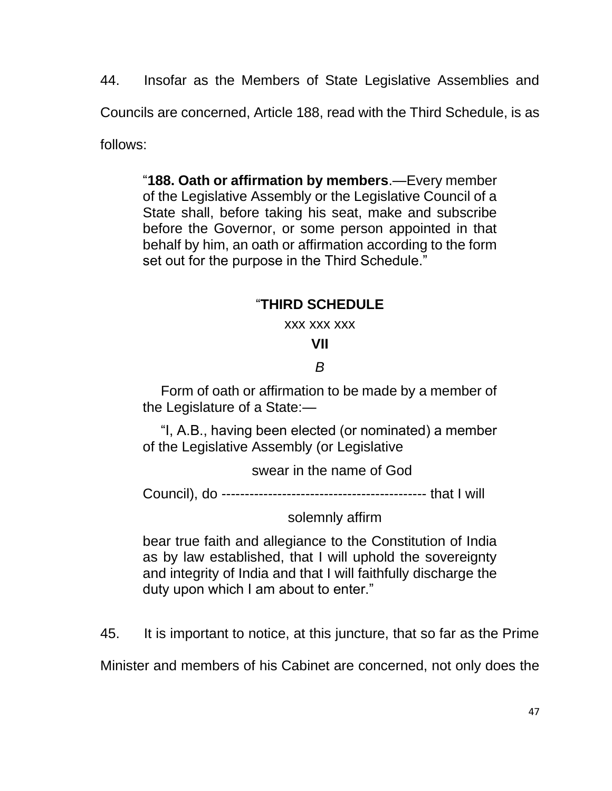44. Insofar as the Members of State Legislative Assemblies and Councils are concerned, Article 188, read with the Third Schedule, is as follows:

"**188. Oath or affirmation by members**.—Every member of the Legislative Assembly or the Legislative Council of a State shall, before taking his seat, make and subscribe before the Governor, or some person appointed in that behalf by him, an oath or affirmation according to the form set out for the purpose in the Third Schedule."

## "**THIRD SCHEDULE**

xxx xxx xxx

# **VII**

## *B*

Form of oath or affirmation to be made by a member of the Legislature of a State:—

"I, A.B., having been elected (or nominated) a member of the Legislative Assembly (or Legislative

swear in the name of God

Council), do -------------------------------------------- that I will

solemnly affirm

bear true faith and allegiance to the Constitution of India as by law established, that I will uphold the sovereignty and integrity of India and that I will faithfully discharge the duty upon which I am about to enter."

45. It is important to notice, at this juncture, that so far as the Prime

Minister and members of his Cabinet are concerned, not only does the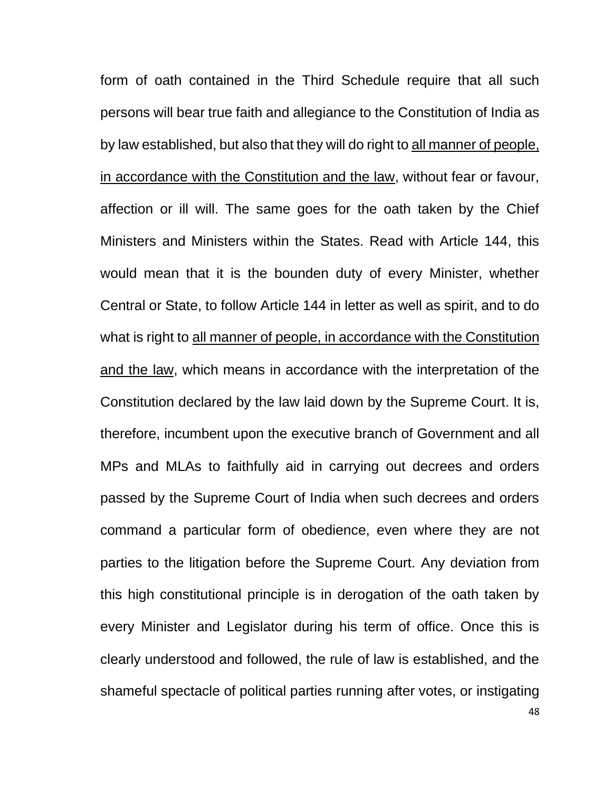48 form of oath contained in the Third Schedule require that all such persons will bear true faith and allegiance to the Constitution of India as by law established, but also that they will do right to all manner of people, in accordance with the Constitution and the law, without fear or favour, affection or ill will. The same goes for the oath taken by the Chief Ministers and Ministers within the States. Read with Article 144, this would mean that it is the bounden duty of every Minister, whether Central or State, to follow Article 144 in letter as well as spirit, and to do what is right to all manner of people, in accordance with the Constitution and the law, which means in accordance with the interpretation of the Constitution declared by the law laid down by the Supreme Court. It is, therefore, incumbent upon the executive branch of Government and all MPs and MLAs to faithfully aid in carrying out decrees and orders passed by the Supreme Court of India when such decrees and orders command a particular form of obedience, even where they are not parties to the litigation before the Supreme Court. Any deviation from this high constitutional principle is in derogation of the oath taken by every Minister and Legislator during his term of office. Once this is clearly understood and followed, the rule of law is established, and the shameful spectacle of political parties running after votes, or instigating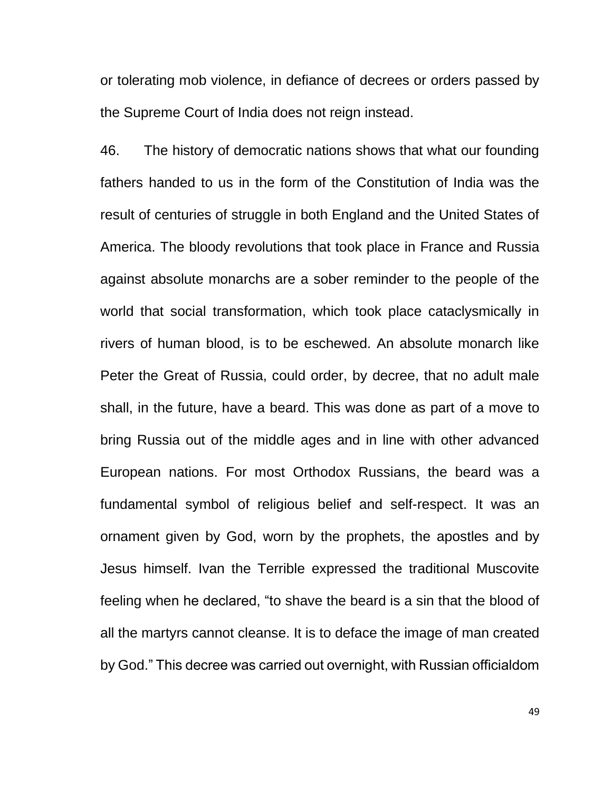or tolerating mob violence, in defiance of decrees or orders passed by the Supreme Court of India does not reign instead.

46. The history of democratic nations shows that what our founding fathers handed to us in the form of the Constitution of India was the result of centuries of struggle in both England and the United States of America. The bloody revolutions that took place in France and Russia against absolute monarchs are a sober reminder to the people of the world that social transformation, which took place cataclysmically in rivers of human blood, is to be eschewed. An absolute monarch like Peter the Great of Russia, could order, by decree, that no adult male shall, in the future, have a beard. This was done as part of a move to bring Russia out of the middle ages and in line with other advanced European nations. For most Orthodox Russians, the beard was a fundamental symbol of religious belief and self-respect. It was an ornament given by God, worn by the prophets, the apostles and by Jesus himself. Ivan the Terrible expressed the traditional Muscovite feeling when he declared, "to shave the beard is a sin that the blood of all the martyrs cannot cleanse. It is to deface the image of man created by God." This decree was carried out overnight, with Russian officialdom

49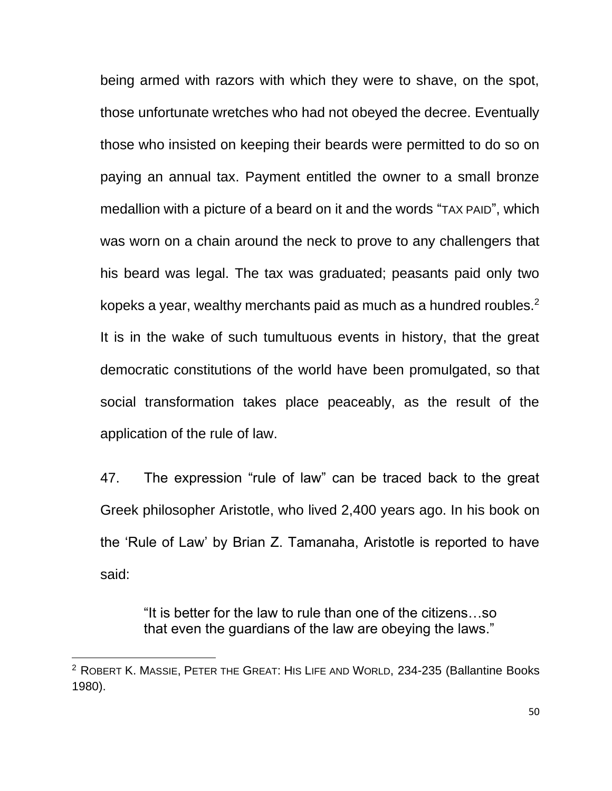being armed with razors with which they were to shave, on the spot, those unfortunate wretches who had not obeyed the decree. Eventually those who insisted on keeping their beards were permitted to do so on paying an annual tax. Payment entitled the owner to a small bronze medallion with a picture of a beard on it and the words "TAX PAID", which was worn on a chain around the neck to prove to any challengers that his beard was legal. The tax was graduated; peasants paid only two kopeks a year, wealthy merchants paid as much as a hundred roubles.<sup>2</sup> It is in the wake of such tumultuous events in history, that the great democratic constitutions of the world have been promulgated, so that social transformation takes place peaceably, as the result of the application of the rule of law.

47. The expression "rule of law" can be traced back to the great Greek philosopher Aristotle, who lived 2,400 years ago. In his book on the 'Rule of Law' by Brian Z. Tamanaha, Aristotle is reported to have said:

"It is better for the law to rule than one of the citizens…so that even the guardians of the law are obeying the laws."

<sup>2</sup> ROBERT K. MASSIE, PETER THE GREAT: HIS LIFE AND WORLD, 234-235 (Ballantine Books 1980).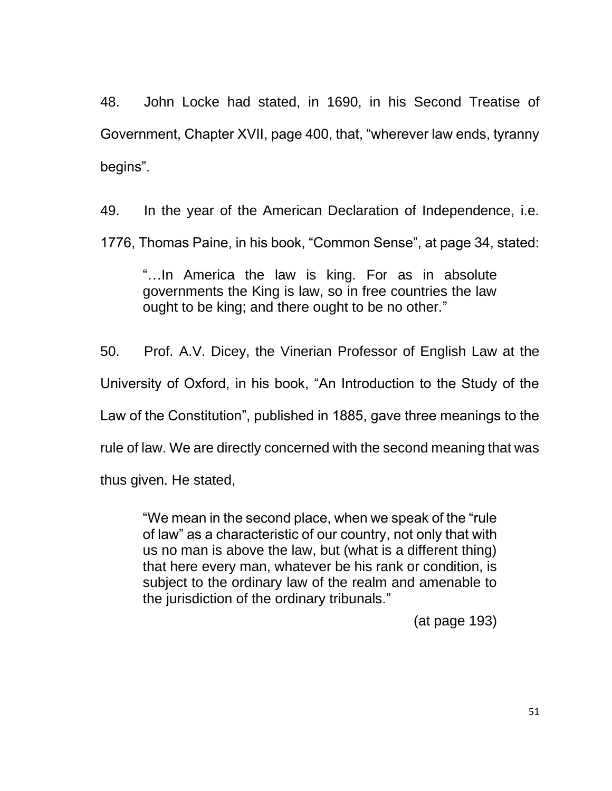48. John Locke had stated, in 1690, in his Second Treatise of Government, Chapter XVII, page 400, that, "wherever law ends, tyranny begins".

49. In the year of the American Declaration of Independence, i.e.

1776, Thomas Paine, in his book, "Common Sense", at page 34, stated:

"…In America the law is king. For as in absolute governments the King is law, so in free countries the law ought to be king; and there ought to be no other."

50. Prof. A.V. Dicey, the Vinerian Professor of English Law at the

University of Oxford, in his book, "An Introduction to the Study of the

Law of the Constitution", published in 1885, gave three meanings to the

rule of law. We are directly concerned with the second meaning that was

thus given. He stated,

"We mean in the second place, when we speak of the "rule of law" as a characteristic of our country, not only that with us no man is above the law, but (what is a different thing) that here every man, whatever be his rank or condition, is subject to the ordinary law of the realm and amenable to the jurisdiction of the ordinary tribunals."

(at page 193)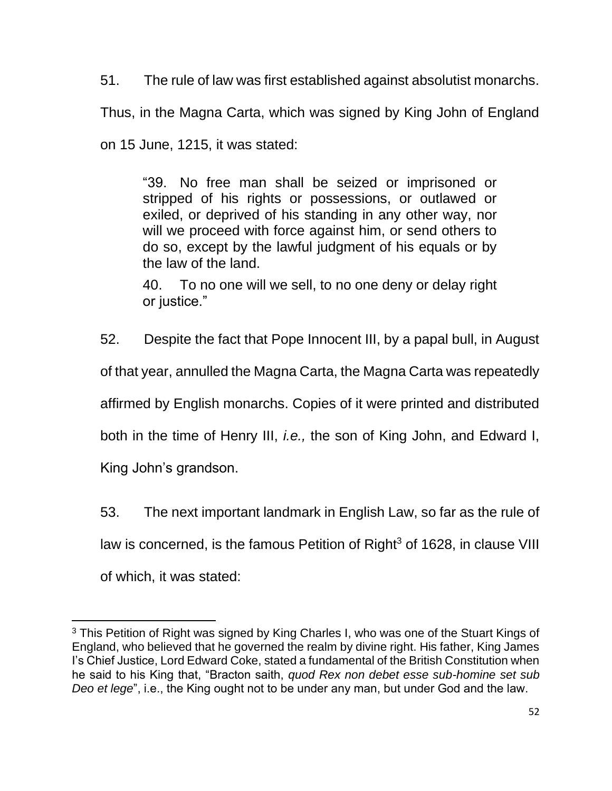51. The rule of law was first established against absolutist monarchs. Thus, in the Magna Carta, which was signed by King John of England on 15 June, 1215, it was stated:

"39. No free man shall be seized or imprisoned or stripped of his rights or possessions, or outlawed or exiled, or deprived of his standing in any other way, nor will we proceed with force against him, or send others to do so, except by the lawful judgment of his equals or by the law of the land.

40. To no one will we sell, to no one deny or delay right or justice."

52. Despite the fact that Pope Innocent III, by a papal bull, in August

of that year, annulled the Magna Carta, the Magna Carta was repeatedly

affirmed by English monarchs. Copies of it were printed and distributed

both in the time of Henry III, *i.e.,* the son of King John, and Edward I,

King John's grandson.

53. The next important landmark in English Law, so far as the rule of law is concerned, is the famous Petition of Right<sup>3</sup> of 1628, in clause VIII of which, it was stated:

<sup>&</sup>lt;sup>3</sup> This Petition of Right was signed by King Charles I, who was one of the Stuart Kings of England, who believed that he governed the realm by divine right. His father, King James I's Chief Justice, Lord Edward Coke, stated a fundamental of the British Constitution when he said to his King that, "Bracton saith, *quod Rex non debet esse sub-homine set sub Deo et lege*", i.e., the King ought not to be under any man, but under God and the law.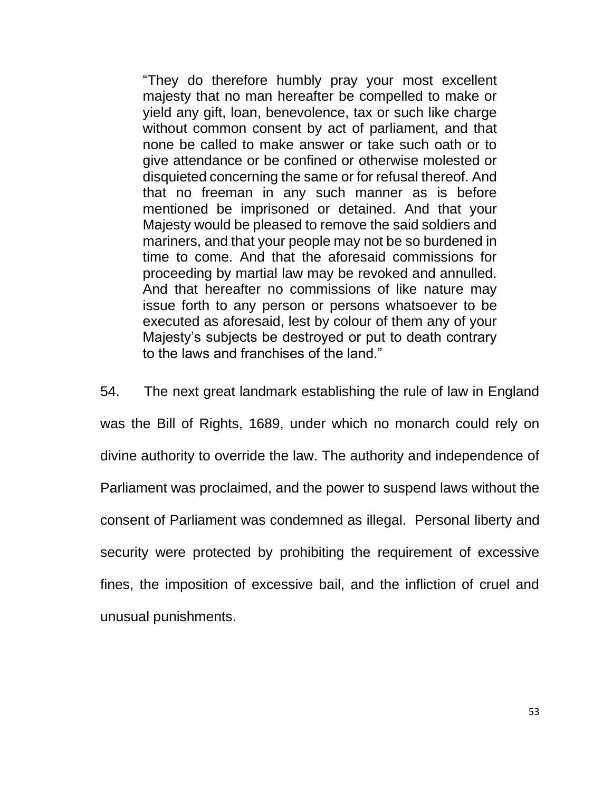"They do therefore humbly pray your most excellent majesty that no man hereafter be compelled to make or yield any gift, loan, benevolence, tax or such like charge without common consent by act of parliament, and that none be called to make answer or take such oath or to give attendance or be confined or otherwise molested or disquieted concerning the same or for refusal thereof. And that no freeman in any such manner as is before mentioned be imprisoned or detained. And that your Majesty would be pleased to remove the said soldiers and mariners, and that your people may not be so burdened in time to come. And that the aforesaid commissions for proceeding by martial law may be revoked and annulled. And that hereafter no commissions of like nature may issue forth to any person or persons whatsoever to be executed as aforesaid, lest by colour of them any of your Majesty's subjects be destroyed or put to death contrary to the laws and franchises of the land."

54. The next great landmark establishing the rule of law in England was the Bill of Rights, 1689, under which no monarch could rely on divine authority to override the law. The authority and independence of Parliament was proclaimed, and the power to suspend laws without the consent of Parliament was condemned as illegal. Personal liberty and security were protected by prohibiting the requirement of excessive fines, the imposition of excessive bail, and the infliction of cruel and unusual punishments.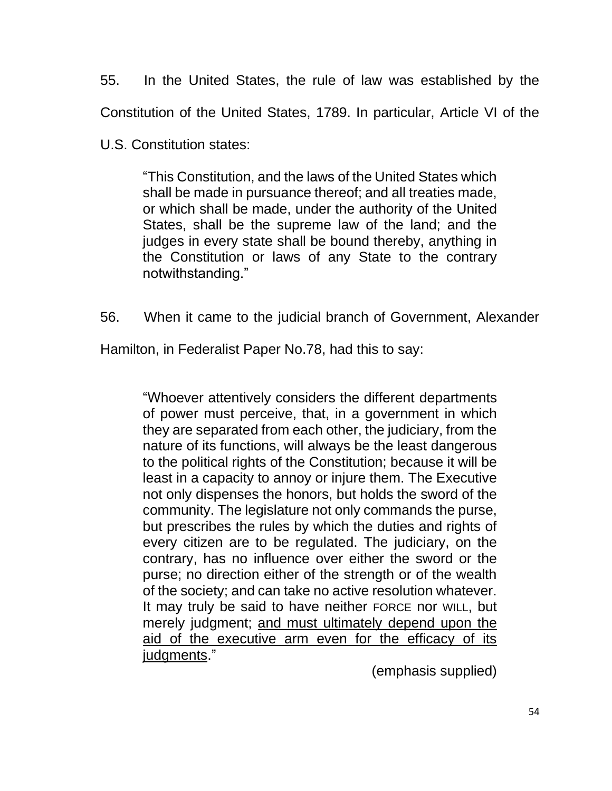55. In the United States, the rule of law was established by the Constitution of the United States, 1789. In particular, Article VI of the

U.S. Constitution states:

"This Constitution, and the laws of the United States which shall be made in pursuance thereof; and all treaties made, or which shall be made, under the authority of the United States, shall be the supreme law of the land; and the judges in every state shall be bound thereby, anything in the Constitution or laws of any State to the contrary notwithstanding."

56. When it came to the judicial branch of Government, Alexander

Hamilton, in Federalist Paper No.78, had this to say:

"Whoever attentively considers the different departments of power must perceive, that, in a government in which they are separated from each other, the judiciary, from the nature of its functions, will always be the least dangerous to the political rights of the Constitution; because it will be least in a capacity to annoy or injure them. The Executive not only dispenses the honors, but holds the sword of the community. The legislature not only commands the purse, but prescribes the rules by which the duties and rights of every citizen are to be regulated. The judiciary, on the contrary, has no influence over either the sword or the purse; no direction either of the strength or of the wealth of the society; and can take no active resolution whatever. It may truly be said to have neither FORCE nor WILL, but merely judgment; and must ultimately depend upon the aid of the executive arm even for the efficacy of its judgments."

(emphasis supplied)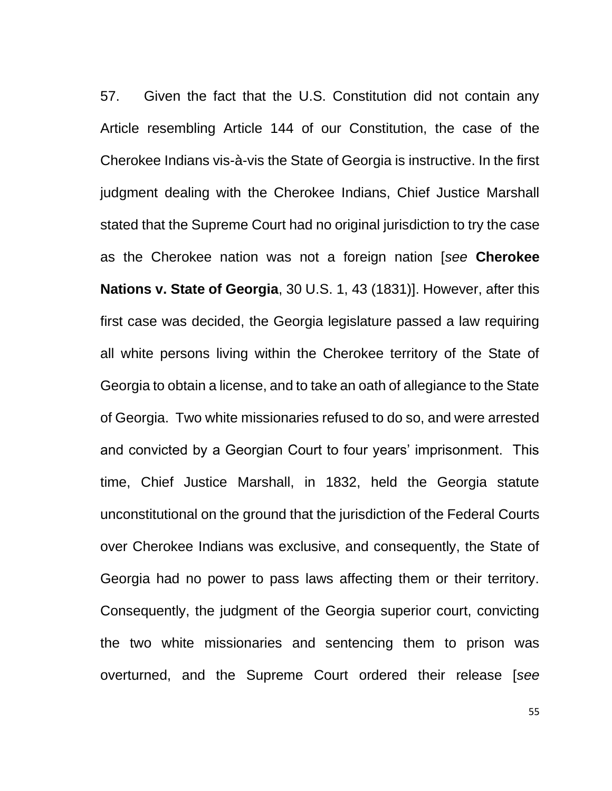57. Given the fact that the U.S. Constitution did not contain any Article resembling Article 144 of our Constitution, the case of the Cherokee Indians vis-à-vis the State of Georgia is instructive. In the first judgment dealing with the Cherokee Indians, Chief Justice Marshall stated that the Supreme Court had no original jurisdiction to try the case as the Cherokee nation was not a foreign nation [*see* **Cherokee Nations v. State of Georgia**, 30 U.S. 1, 43 (1831)]. However, after this first case was decided, the Georgia legislature passed a law requiring all white persons living within the Cherokee territory of the State of Georgia to obtain a license, and to take an oath of allegiance to the State of Georgia. Two white missionaries refused to do so, and were arrested and convicted by a Georgian Court to four years' imprisonment. This time, Chief Justice Marshall, in 1832, held the Georgia statute unconstitutional on the ground that the jurisdiction of the Federal Courts over Cherokee Indians was exclusive, and consequently, the State of Georgia had no power to pass laws affecting them or their territory. Consequently, the judgment of the Georgia superior court, convicting the two white missionaries and sentencing them to prison was overturned, and the Supreme Court ordered their release [*see*

55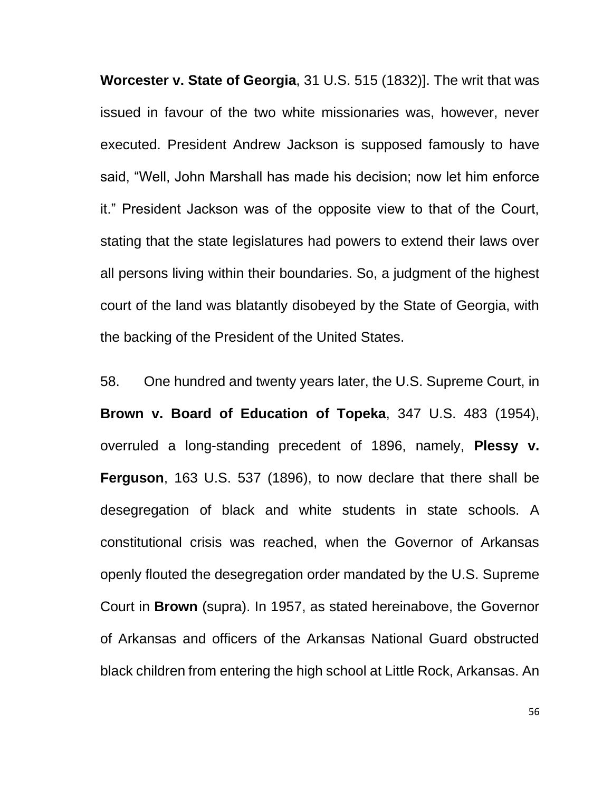**Worcester v. State of Georgia**, 31 U.S. 515 (1832)]. The writ that was issued in favour of the two white missionaries was, however, never executed. President Andrew Jackson is supposed famously to have said, "Well, John Marshall has made his decision; now let him enforce it." President Jackson was of the opposite view to that of the Court, stating that the state legislatures had powers to extend their laws over all persons living within their boundaries. So, a judgment of the highest court of the land was blatantly disobeyed by the State of Georgia, with the backing of the President of the United States.

58. One hundred and twenty years later, the U.S. Supreme Court, in **Brown v. Board of Education of Topeka**, 347 U.S. 483 (1954), overruled a long-standing precedent of 1896, namely, **Plessy v. Ferguson**, 163 U.S. 537 (1896), to now declare that there shall be desegregation of black and white students in state schools. A constitutional crisis was reached, when the Governor of Arkansas openly flouted the desegregation order mandated by the U.S. Supreme Court in **Brown** (supra). In 1957, as stated hereinabove, the Governor of Arkansas and officers of the Arkansas National Guard obstructed black children from entering the high school at Little Rock, Arkansas. An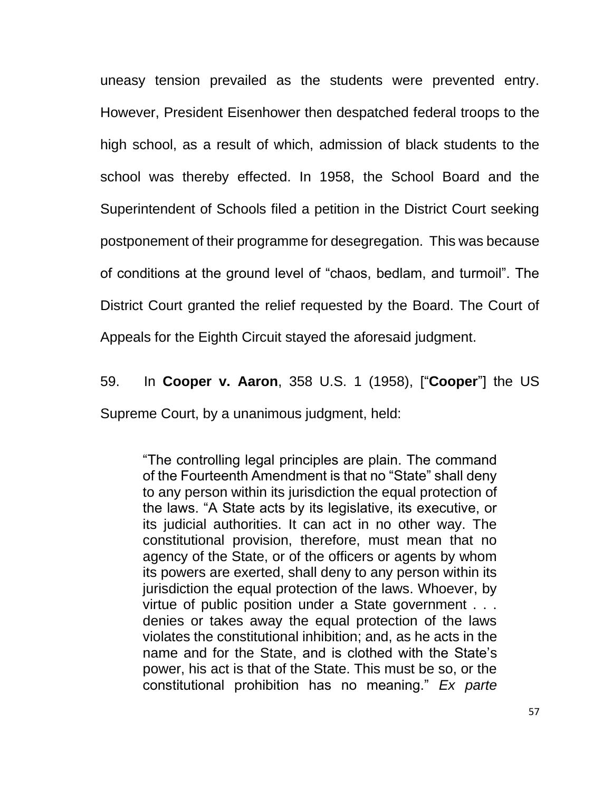uneasy tension prevailed as the students were prevented entry. However, President Eisenhower then despatched federal troops to the high school, as a result of which, admission of black students to the school was thereby effected. In 1958, the School Board and the Superintendent of Schools filed a petition in the District Court seeking postponement of their programme for desegregation. This was because of conditions at the ground level of "chaos, bedlam, and turmoil". The District Court granted the relief requested by the Board. The Court of Appeals for the Eighth Circuit stayed the aforesaid judgment.

59. In **Cooper v. Aaron**, 358 U.S. 1 (1958), ["**Cooper**"] the US Supreme Court, by a unanimous judgment, held:

"The controlling legal principles are plain. The command of the Fourteenth Amendment is that no "State" shall deny to any person within its jurisdiction the equal protection of the laws. "A State acts by its legislative, its executive, or its judicial authorities. It can act in no other way. The constitutional provision, therefore, must mean that no agency of the State, or of the officers or agents by whom its powers are exerted, shall deny to any person within its jurisdiction the equal protection of the laws. Whoever, by virtue of public position under a State government . . . denies or takes away the equal protection of the laws violates the constitutional inhibition; and, as he acts in the name and for the State, and is clothed with the State's power, his act is that of the State. This must be so, or the constitutional prohibition has no meaning." *Ex parte*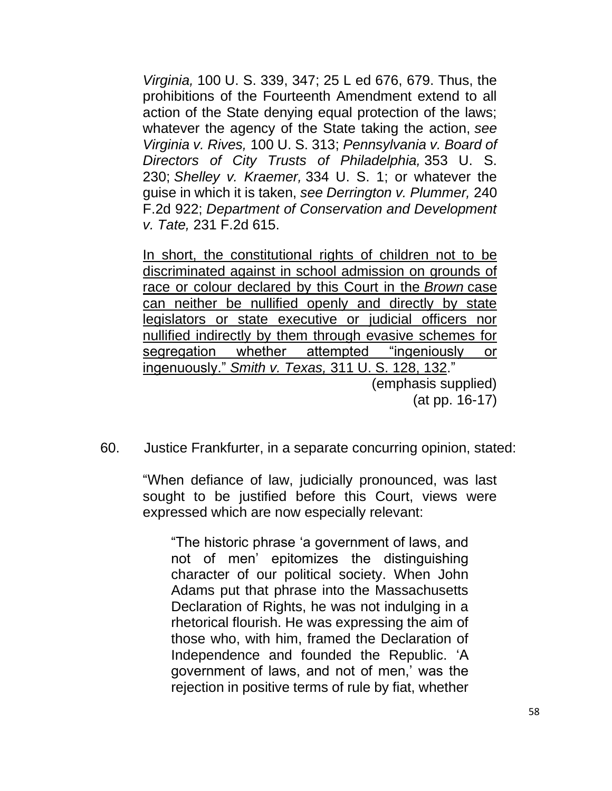*Virginia,* 100 U. S. 339, 347; 25 L ed 676, 679. Thus, the prohibitions of the Fourteenth Amendment extend to all action of the State denying equal protection of the laws; whatever the agency of the State taking the action, *see Virginia v. Rives,* 100 U. S. 313; *Pennsylvania v. Board of Directors of City Trusts of Philadelphia,* 353 U. S. 230; *Shelley v. Kraemer,* 334 U. S. 1; or whatever the guise in which it is taken, *see Derrington v. Plummer,* 240 F.2d 922; *Department of Conservation and Development v. Tate,* 231 F.2d 615.

In short, the constitutional rights of children not to be discriminated against in school admission on grounds of race or colour declared by this Court in the *Brown* case can neither be nullified openly and directly by state legislators or state executive or judicial officers nor nullified indirectly by them through evasive schemes for segregation whether attempted "ingeniously or ingenuously." *Smith v. Texas,* 311 U. S. 128, 132." (emphasis supplied) (at pp. 16-17)

60. Justice Frankfurter, in a separate concurring opinion, stated:

"When defiance of law, judicially pronounced, was last sought to be justified before this Court, views were expressed which are now especially relevant:

"The historic phrase 'a government of laws, and not of men' epitomizes the distinguishing character of our political society. When John Adams put that phrase into the Massachusetts Declaration of Rights, he was not indulging in a rhetorical flourish. He was expressing the aim of those who, with him, framed the Declaration of Independence and founded the Republic. 'A government of laws, and not of men,' was the rejection in positive terms of rule by fiat, whether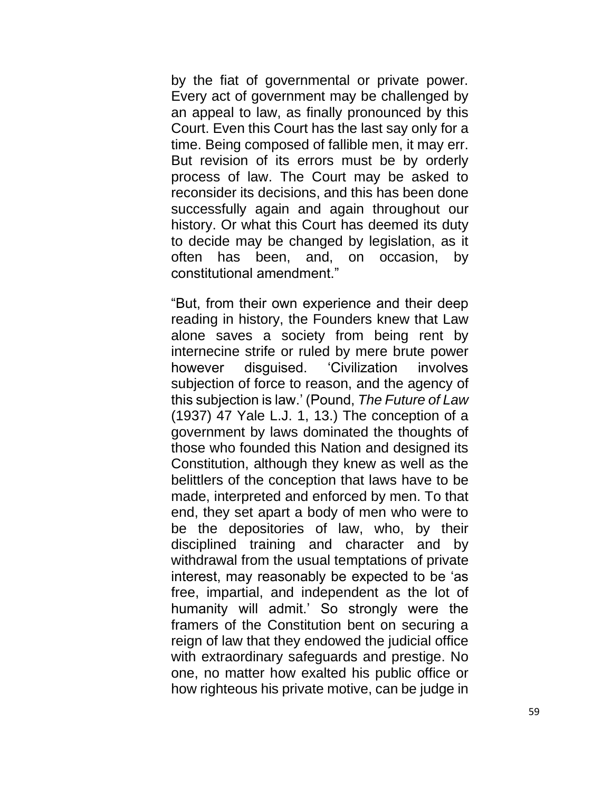by the fiat of governmental or private power. Every act of government may be challenged by an appeal to law, as finally pronounced by this Court. Even this Court has the last say only for a time. Being composed of fallible men, it may err. But revision of its errors must be by orderly process of law. The Court may be asked to reconsider its decisions, and this has been done successfully again and again throughout our history. Or what this Court has deemed its duty to decide may be changed by legislation, as it often has been, and, on occasion, by constitutional amendment."

"But, from their own experience and their deep reading in history, the Founders knew that Law alone saves a society from being rent by internecine strife or ruled by mere brute power however disguised. 'Civilization involves subjection of force to reason, and the agency of this subjection is law.' (Pound, *The Future of Law* (1937) 47 Yale L.J. 1, 13.) The conception of a government by laws dominated the thoughts of those who founded this Nation and designed its Constitution, although they knew as well as the belittlers of the conception that laws have to be made, interpreted and enforced by men. To that end, they set apart a body of men who were to be the depositories of law, who, by their disciplined training and character and by withdrawal from the usual temptations of private interest, may reasonably be expected to be 'as free, impartial, and independent as the lot of humanity will admit.' So strongly were the framers of the Constitution bent on securing a reign of law that they endowed the judicial office with extraordinary safeguards and prestige. No one, no matter how exalted his public office or how righteous his private motive, can be judge in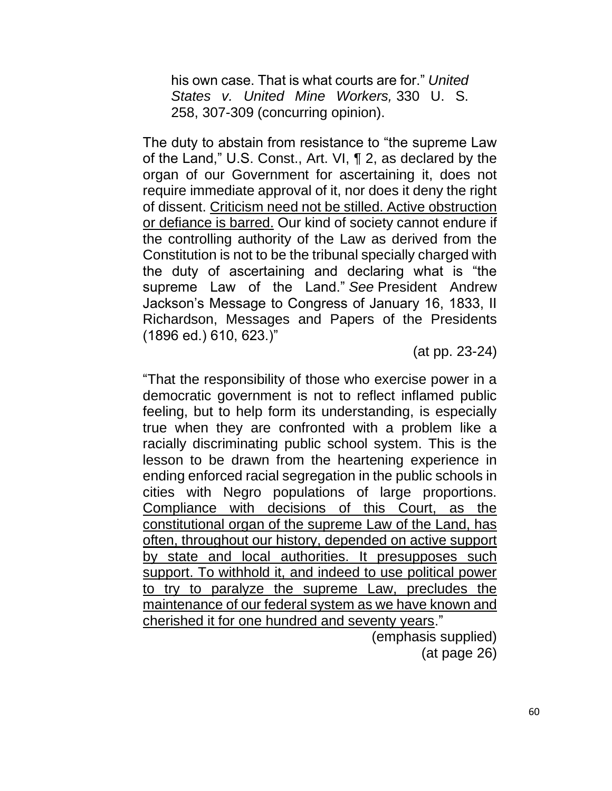his own case. That is what courts are for." *United States v. United Mine Workers,* 330 U. S. 258, 307-309 (concurring opinion).

The duty to abstain from resistance to "the supreme Law of the Land," U.S. Const., Art. VI, ¶ 2, as declared by the organ of our Government for ascertaining it, does not require immediate approval of it, nor does it deny the right of dissent. Criticism need not be stilled. Active obstruction or defiance is barred. Our kind of society cannot endure if the controlling authority of the Law as derived from the Constitution is not to be the tribunal specially charged with the duty of ascertaining and declaring what is "the supreme Law of the Land." *See* President Andrew Jackson's Message to Congress of January 16, 1833, II Richardson, Messages and Papers of the Presidents (1896 ed.) 610, 623.)"

(at pp. 23-24)

"That the responsibility of those who exercise power in a democratic government is not to reflect inflamed public feeling, but to help form its understanding, is especially true when they are confronted with a problem like a racially discriminating public school system. This is the lesson to be drawn from the heartening experience in ending enforced racial segregation in the public schools in cities with Negro populations of large proportions. Compliance with decisions of this Court, as the constitutional organ of the supreme Law of the Land, has often, throughout our history, depended on active support by state and local authorities. It presupposes such support. To withhold it, and indeed to use political power to try to paralyze the supreme Law, precludes the maintenance of our federal system as we have known and cherished it for one hundred and seventy years."

(emphasis supplied) (at page 26)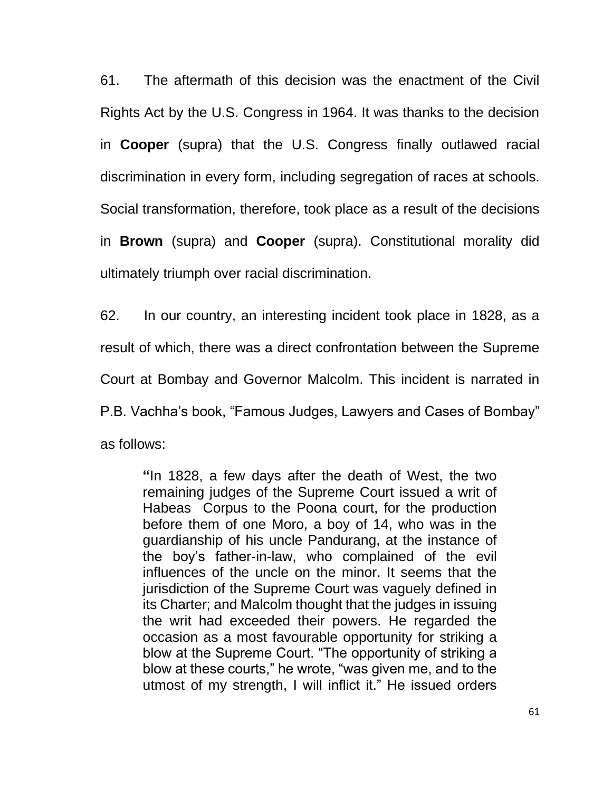61. The aftermath of this decision was the enactment of the Civil Rights Act by the U.S. Congress in 1964. It was thanks to the decision in **Cooper** (supra) that the U.S. Congress finally outlawed racial discrimination in every form, including segregation of races at schools. Social transformation, therefore, took place as a result of the decisions in **Brown** (supra) and **Cooper** (supra). Constitutional morality did ultimately triumph over racial discrimination.

62. In our country, an interesting incident took place in 1828, as a result of which, there was a direct confrontation between the Supreme Court at Bombay and Governor Malcolm. This incident is narrated in P.B. Vachha's book, "Famous Judges, Lawyers and Cases of Bombay" as follows:

**"**In 1828, a few days after the death of West, the two remaining judges of the Supreme Court issued a writ of Habeas Corpus to the Poona court, for the production before them of one Moro, a boy of 14, who was in the guardianship of his uncle Pandurang, at the instance of the boy's father-in-law, who complained of the evil influences of the uncle on the minor. It seems that the jurisdiction of the Supreme Court was vaguely defined in its Charter; and Malcolm thought that the judges in issuing the writ had exceeded their powers. He regarded the occasion as a most favourable opportunity for striking a blow at the Supreme Court. "The opportunity of striking a blow at these courts," he wrote, "was given me, and to the utmost of my strength, I will inflict it." He issued orders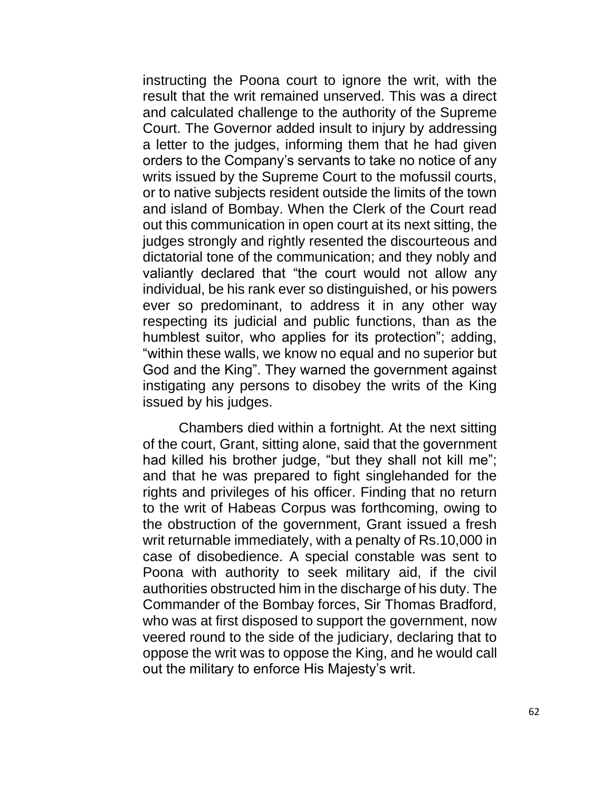instructing the Poona court to ignore the writ, with the result that the writ remained unserved. This was a direct and calculated challenge to the authority of the Supreme Court. The Governor added insult to injury by addressing a letter to the judges, informing them that he had given orders to the Company's servants to take no notice of any writs issued by the Supreme Court to the mofussil courts, or to native subjects resident outside the limits of the town and island of Bombay. When the Clerk of the Court read out this communication in open court at its next sitting, the judges strongly and rightly resented the discourteous and dictatorial tone of the communication; and they nobly and valiantly declared that "the court would not allow any individual, be his rank ever so distinguished, or his powers ever so predominant, to address it in any other way respecting its judicial and public functions, than as the humblest suitor, who applies for its protection"; adding, "within these walls, we know no equal and no superior but God and the King". They warned the government against instigating any persons to disobey the writs of the King issued by his judges.

Chambers died within a fortnight. At the next sitting of the court, Grant, sitting alone, said that the government had killed his brother judge, "but they shall not kill me"; and that he was prepared to fight singlehanded for the rights and privileges of his officer. Finding that no return to the writ of Habeas Corpus was forthcoming, owing to the obstruction of the government, Grant issued a fresh writ returnable immediately, with a penalty of Rs.10,000 in case of disobedience. A special constable was sent to Poona with authority to seek military aid, if the civil authorities obstructed him in the discharge of his duty. The Commander of the Bombay forces, Sir Thomas Bradford, who was at first disposed to support the government, now veered round to the side of the judiciary, declaring that to oppose the writ was to oppose the King, and he would call out the military to enforce His Majesty's writ.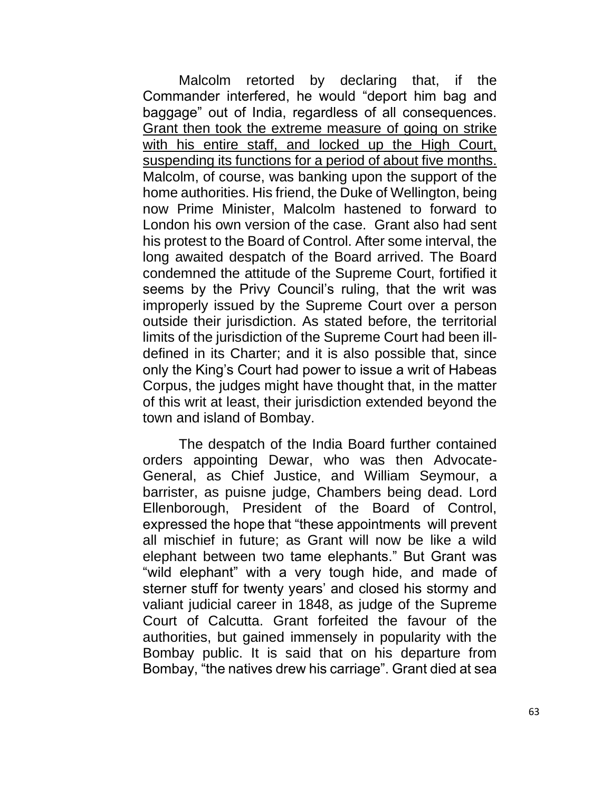Malcolm retorted by declaring that, if the Commander interfered, he would "deport him bag and baggage" out of India, regardless of all consequences. Grant then took the extreme measure of going on strike with his entire staff, and locked up the High Court, suspending its functions for a period of about five months. Malcolm, of course, was banking upon the support of the home authorities. His friend, the Duke of Wellington, being now Prime Minister, Malcolm hastened to forward to London his own version of the case. Grant also had sent his protest to the Board of Control. After some interval, the long awaited despatch of the Board arrived. The Board condemned the attitude of the Supreme Court, fortified it seems by the Privy Council's ruling, that the writ was improperly issued by the Supreme Court over a person outside their jurisdiction. As stated before, the territorial limits of the jurisdiction of the Supreme Court had been illdefined in its Charter; and it is also possible that, since only the King's Court had power to issue a writ of Habeas Corpus, the judges might have thought that, in the matter of this writ at least, their jurisdiction extended beyond the town and island of Bombay.

The despatch of the India Board further contained orders appointing Dewar, who was then Advocate-General, as Chief Justice, and William Seymour, a barrister, as puisne judge, Chambers being dead. Lord Ellenborough, President of the Board of Control, expressed the hope that "these appointments will prevent all mischief in future; as Grant will now be like a wild elephant between two tame elephants." But Grant was "wild elephant" with a very tough hide, and made of sterner stuff for twenty years' and closed his stormy and valiant judicial career in 1848, as judge of the Supreme Court of Calcutta. Grant forfeited the favour of the authorities, but gained immensely in popularity with the Bombay public. It is said that on his departure from Bombay, "the natives drew his carriage". Grant died at sea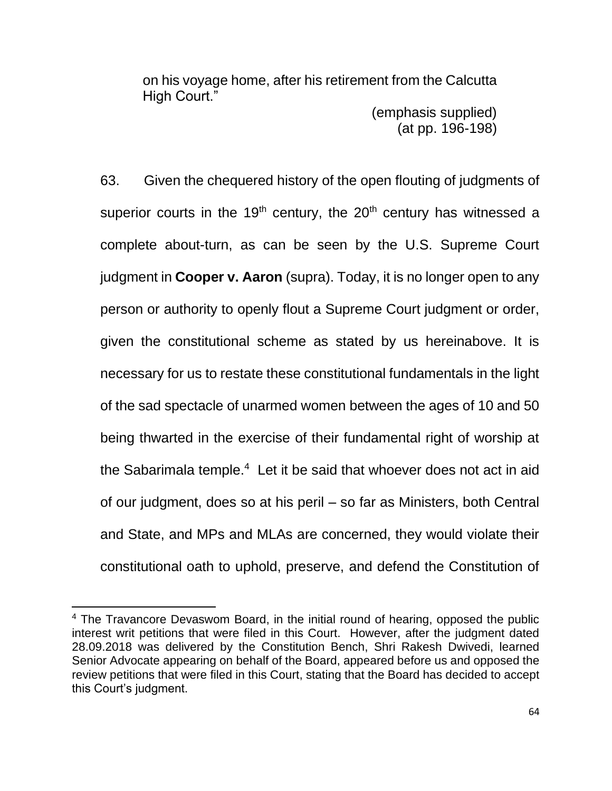on his voyage home, after his retirement from the Calcutta High Court."

> (emphasis supplied) (at pp. 196-198)

63. Given the chequered history of the open flouting of judgments of superior courts in the  $19<sup>th</sup>$  century, the  $20<sup>th</sup>$  century has witnessed a complete about-turn, as can be seen by the U.S. Supreme Court judgment in **Cooper v. Aaron** (supra). Today, it is no longer open to any person or authority to openly flout a Supreme Court judgment or order, given the constitutional scheme as stated by us hereinabove. It is necessary for us to restate these constitutional fundamentals in the light of the sad spectacle of unarmed women between the ages of 10 and 50 being thwarted in the exercise of their fundamental right of worship at the Sabarimala temple. $4$  Let it be said that whoever does not act in aid of our judgment, does so at his peril – so far as Ministers, both Central and State, and MPs and MLAs are concerned, they would violate their constitutional oath to uphold, preserve, and defend the Constitution of

<sup>4</sup> The Travancore Devaswom Board, in the initial round of hearing, opposed the public interest writ petitions that were filed in this Court. However, after the judgment dated 28.09.2018 was delivered by the Constitution Bench, Shri Rakesh Dwivedi, learned Senior Advocate appearing on behalf of the Board, appeared before us and opposed the review petitions that were filed in this Court, stating that the Board has decided to accept this Court's judgment.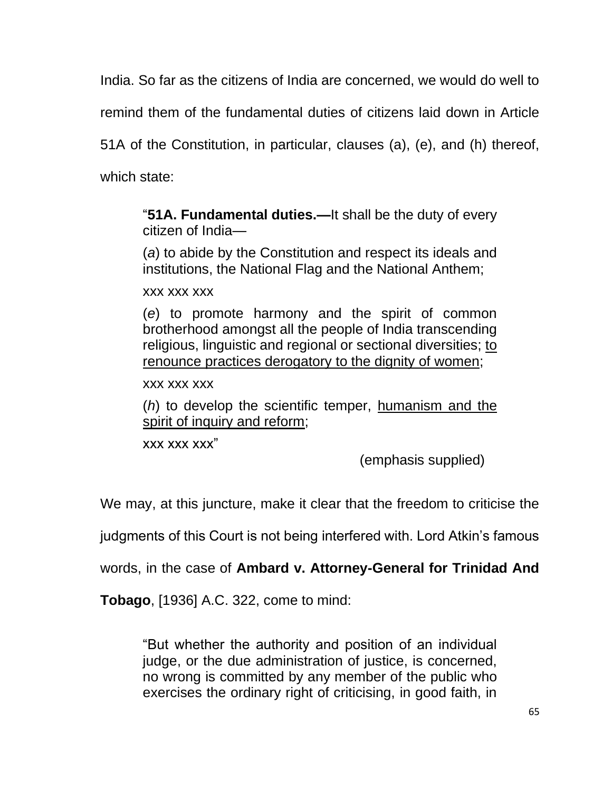India. So far as the citizens of India are concerned, we would do well to

remind them of the fundamental duties of citizens laid down in Article

51A of the Constitution, in particular, clauses (a), (e), and (h) thereof,

which state:

"**51A. Fundamental duties.—**It shall be the duty of every citizen of India—

(*a*) to abide by the Constitution and respect its ideals and institutions, the National Flag and the National Anthem;

xxx xxx xxx

(*e*) to promote harmony and the spirit of common brotherhood amongst all the people of India transcending religious, linguistic and regional or sectional diversities; to renounce practices derogatory to the dignity of women;

xxx xxx xxx

(*h*) to develop the scientific temper, humanism and the spirit of inquiry and reform;

xxx xxx xxx"

(emphasis supplied)

We may, at this juncture, make it clear that the freedom to criticise the

judgments of this Court is not being interfered with. Lord Atkin's famous

words, in the case of **Ambard v. Attorney-General for Trinidad And** 

**Tobago**, [1936] A.C. 322, come to mind:

"But whether the authority and position of an individual judge, or the due administration of justice, is concerned, no wrong is committed by any member of the public who exercises the ordinary right of criticising, in good faith, in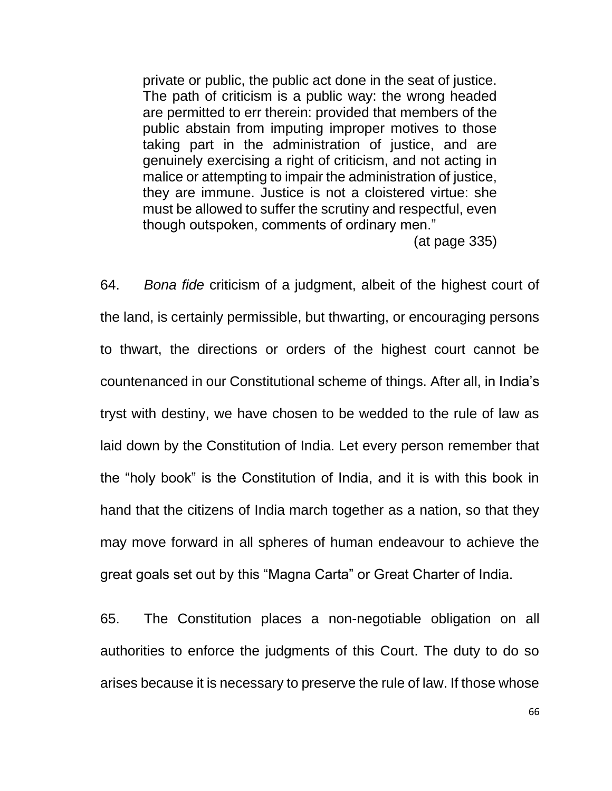private or public, the public act done in the seat of justice. The path of criticism is a public way: the wrong headed are permitted to err therein: provided that members of the public abstain from imputing improper motives to those taking part in the administration of justice, and are genuinely exercising a right of criticism, and not acting in malice or attempting to impair the administration of justice, they are immune. Justice is not a cloistered virtue: she must be allowed to suffer the scrutiny and respectful, even though outspoken, comments of ordinary men."

(at page 335)

64. *Bona fide* criticism of a judgment, albeit of the highest court of the land, is certainly permissible, but thwarting, or encouraging persons to thwart, the directions or orders of the highest court cannot be countenanced in our Constitutional scheme of things. After all, in India's tryst with destiny, we have chosen to be wedded to the rule of law as laid down by the Constitution of India. Let every person remember that the "holy book" is the Constitution of India, and it is with this book in hand that the citizens of India march together as a nation, so that they may move forward in all spheres of human endeavour to achieve the great goals set out by this "Magna Carta" or Great Charter of India.

65. The Constitution places a non-negotiable obligation on all authorities to enforce the judgments of this Court. The duty to do so arises because it is necessary to preserve the rule of law. If those whose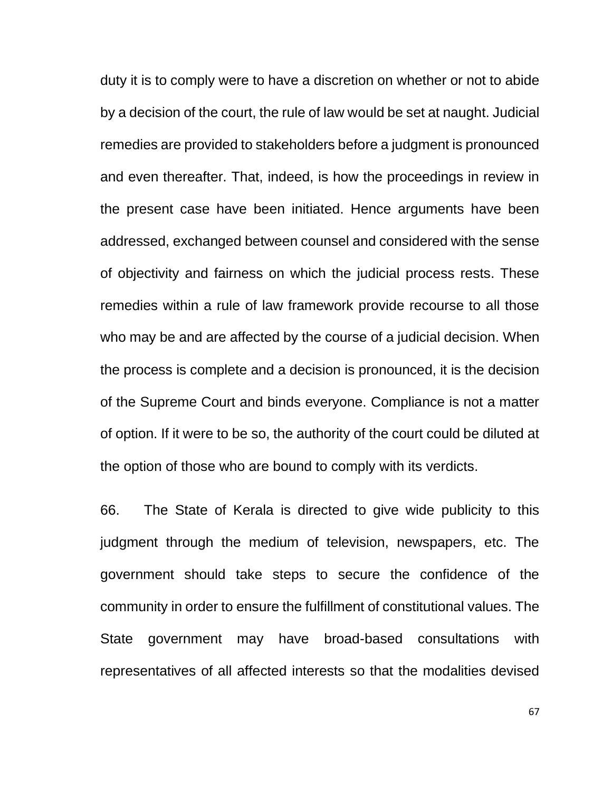duty it is to comply were to have a discretion on whether or not to abide by a decision of the court, the rule of law would be set at naught. Judicial remedies are provided to stakeholders before a judgment is pronounced and even thereafter. That, indeed, is how the proceedings in review in the present case have been initiated. Hence arguments have been addressed, exchanged between counsel and considered with the sense of objectivity and fairness on which the judicial process rests. These remedies within a rule of law framework provide recourse to all those who may be and are affected by the course of a judicial decision. When the process is complete and a decision is pronounced, it is the decision of the Supreme Court and binds everyone. Compliance is not a matter of option. If it were to be so, the authority of the court could be diluted at the option of those who are bound to comply with its verdicts.

66. The State of Kerala is directed to give wide publicity to this judgment through the medium of television, newspapers, etc. The government should take steps to secure the confidence of the community in order to ensure the fulfillment of constitutional values. The State government may have broad-based consultations with representatives of all affected interests so that the modalities devised

67